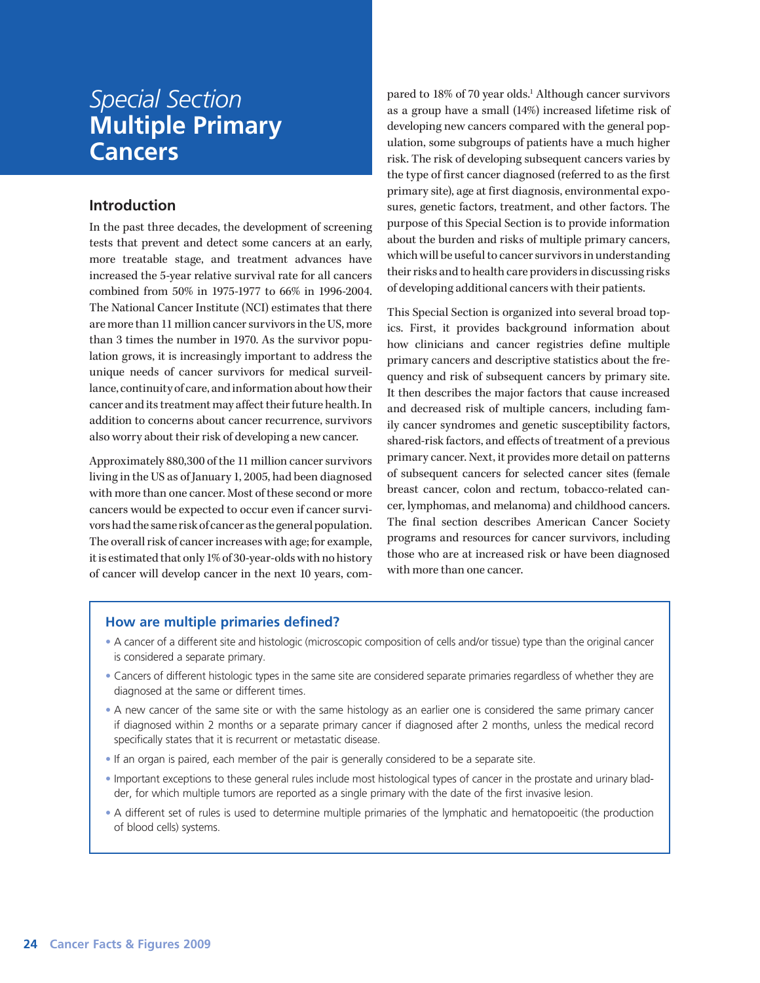# *Special Section* **Multiple Primary Cancers**

# **Introduction**

In the past three decades, the development of screening tests that prevent and detect some cancers at an early, more treatable stage, and treatment advances have increased the 5-year relative survival rate for all cancers combined from 50% in 1975-1977 to 66% in 1996-2004. The National Cancer Institute (NCI) estimates that there are more than 11 million cancer survivors in the US, more than 3 times the number in 1970. As the survivor population grows, it is increasingly important to address the unique needs of cancer survivors for medical surveillance, continuity of care, and information about how their cancer and its treatment may affect their future health. In addition to concerns about cancer recurrence, survivors also worry about their risk of developing a new cancer.

Approximately 880,300 of the 11 million cancer survivors living in the US as of January 1, 2005, had been diagnosed with more than one cancer. Most of these second or more cancers would be expected to occur even if cancer survivors had the same risk of cancer as the general population. The overall risk of cancer increases with age; for example, it is estimated that only 1% of 30-year-olds with no history of cancer will develop cancer in the next 10 years, compared to 18% of 70 year olds.<sup>1</sup> Although cancer survivors as a group have a small (14%) increased lifetime risk of developing new cancers compared with the general population, some subgroups of patients have a much higher risk. The risk of developing subsequent cancers varies by the type of first cancer diagnosed (referred to as the first primary site), age at first diagnosis, environmental exposures, genetic factors, treatment, and other factors. The purpose of this Special Section is to provide information about the burden and risks of multiple primary cancers, which will be useful to cancer survivors in understanding their risks and to health care providers in discussing risks of developing additional cancers with their patients.

This Special Section is organized into several broad topics. First, it provides background information about how clinicians and cancer registries define multiple primary cancers and descriptive statistics about the frequency and risk of subsequent cancers by primary site. It then describes the major factors that cause increased and decreased risk of multiple cancers, including family cancer syndromes and genetic susceptibility factors, shared-risk factors, and effects of treatment of a previous primary cancer. Next, it provides more detail on patterns of subsequent cancers for selected cancer sites (female breast cancer, colon and rectum, tobacco-related cancer, lymphomas, and melanoma) and childhood cancers. The final section describes American Cancer Society programs and resources for cancer survivors, including those who are at increased risk or have been diagnosed with more than one cancer.

# **How are multiple primaries defined?**

- A cancer of a different site and histologic (microscopic composition of cells and/or tissue) type than the original cancer is considered a separate primary.
- Cancers of different histologic types in the same site are considered separate primaries regardless of whether they are diagnosed at the same or different times.
- A new cancer of the same site or with the same histology as an earlier one is considered the same primary cancer if diagnosed within 2 months or a separate primary cancer if diagnosed after 2 months, unless the medical record specifically states that it is recurrent or metastatic disease.
- If an organ is paired, each member of the pair is generally considered to be a separate site.
- Important exceptions to these general rules include most histological types of cancer in the prostate and urinary bladder, for which multiple tumors are reported as a single primary with the date of the first invasive lesion.
- A different set of rules is used to determine multiple primaries of the lymphatic and hematopoeitic (the production of blood cells) systems.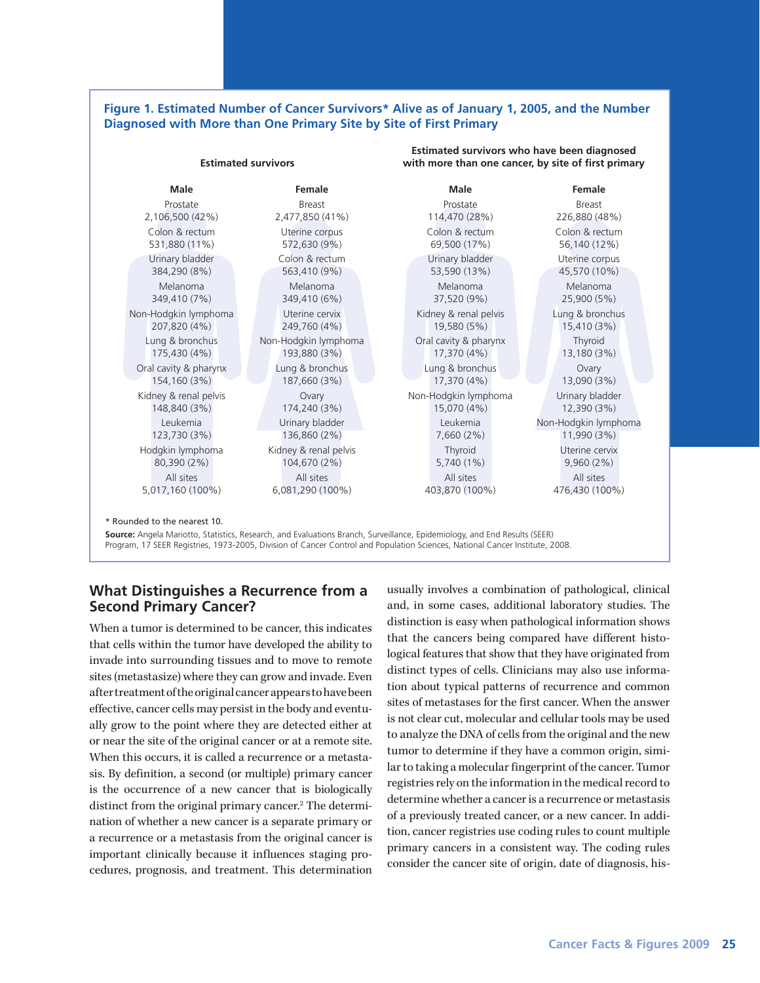### **Figure 1. Estimated Number of Cancer Survivors\* Alive as of January 1, 2005, and the Number Diagnosed with More than One Primary Site by Site of First Primary**

|                                      | <b>Estimated survivors</b>                                             | with more than one cancer, by site of first primary |                                |
|--------------------------------------|------------------------------------------------------------------------|-----------------------------------------------------|--------------------------------|
| <b>Male</b>                          | Female                                                                 | <b>Male</b>                                         | <b>Female</b>                  |
| Prostate                             | <b>Breast</b>                                                          | Prostate                                            | Breast                         |
| 2,106,500 (42%)                      | 2,477,850 (41%)                                                        | 114,470 (28%)                                       | 226,880 (48%)                  |
| Colon & rectum                       | Uterine corpus                                                         | Colon & rectum                                      | Colon & rectum                 |
| 531,880 (11%)                        | 572,630 (9%)                                                           | 69,500 (17%)                                        | 56,140 (12%)                   |
| Urinary bladder                      | Colon & rectum                                                         | Urinary bladder                                     | Uterine corpus                 |
| 384,290 (8%)                         | 563,410 (9%)                                                           | 53,590 (13%)                                        | 45,570 (10%)                   |
| Melanoma                             | Melanoma                                                               | Melanoma                                            | Melanoma                       |
| 349,410 (7%)                         | 349,410 (6%)                                                           | 37,520 (9%)                                         | 25,900 (5%)                    |
| Non-Hodgkin lymphoma<br>207,820 (4%) | Uterine cervix<br>Kidney & renal pelvis<br>249,760 (4%)<br>19,580 (5%) |                                                     | Lung & bronchus<br>15,410 (3%) |
| Lung & bronchus                      | Non-Hodgkin lymphoma                                                   | Oral cavity & pharynx                               | Thyroid                        |
| 175,430 (4%)                         | 193,880 (3%)                                                           | 17,370 (4%)                                         | 13,180 (3%)                    |
| Oral cavity & pharynx                | Lung & bronchus                                                        | Lung & bronchus                                     | Ovary                          |
| 154,160 (3%)                         | 187,660 (3%)                                                           | 17,370 (4%)                                         | 13,090 (3%)                    |
| Kidney & renal pelvis                | Ovary                                                                  | Non-Hodgkin lymphoma                                | Urinary bladder                |
| 148,840 (3%)                         | 174,240 (3%)                                                           | 15,070 (4%)                                         | 12,390 (3%)                    |
| Leukemia                             | Urinary bladder                                                        | Leukemia                                            | Non-Hodgkin lymphoma           |
| 123,730 (3%)                         | 136,860 (2%)                                                           | 7,660(2%)                                           | 11,990 (3%)                    |
| Hodgkin lymphoma                     | Kidney & renal pelvis                                                  | Thyroid                                             | Uterine cervix                 |
| 80,390 (2%)                          | 104,670 (2%)                                                           | 5,740 (1%)                                          | 9,960(2%)                      |
| All sites                            | All sites                                                              | All sites                                           | All sites                      |
| 5,017,160 (100%)                     | 6,081,290 (100%)                                                       | 403,870 (100%)                                      | 476,430 (100%)                 |

**Source:** Angela Mariotto, Statistics, Research, and Evaluations Branch, Surveillance, Epidemiology, and End Results (SEER) Program, 17 SEER Registries, 1973-2005, Division of Cancer Control and Population Sciences, National Cancer Institute, 2008.

# **What Distinguishes a Recurrence from a Second Primary Cancer?**

When a tumor is determined to be cancer, this indicates that cells within the tumor have developed the ability to invade into surrounding tissues and to move to remote sites (metastasize) where they can grow and invade. Even after treatment of the original cancer appears to have been effective, cancer cells may persist in the body and eventually grow to the point where they are detected either at or near the site of the original cancer or at a remote site. When this occurs, it is called a recurrence or a metastasis. By definition, a second (or multiple) primary cancer is the occurrence of a new cancer that is biologically distinct from the original primary cancer.<sup>2</sup> The determination of whether a new cancer is a separate primary or a recurrence or a metastasis from the original cancer is important clinically because it influences staging procedures, prognosis, and treatment. This determination

usually involves a combination of pathological, clinical and, in some cases, additional laboratory studies. The distinction is easy when pathological information shows that the cancers being compared have different histological features that show that they have originated from distinct types of cells. Clinicians may also use information about typical patterns of recurrence and common sites of metastases for the first cancer. When the answer is not clear cut, molecular and cellular tools may be used to analyze the DNA of cells from the original and the new tumor to determine if they have a common origin, similar to taking a molecular fingerprint of the cancer. Tumor registries rely on the information in the medical record to determine whether a cancer is a recurrence or metastasis of a previously treated cancer, or a new cancer. In addition, cancer registries use coding rules to count multiple primary cancers in a consistent way. The coding rules consider the cancer site of origin, date of diagnosis, his-

**Estimated survivors who have been diagnosed**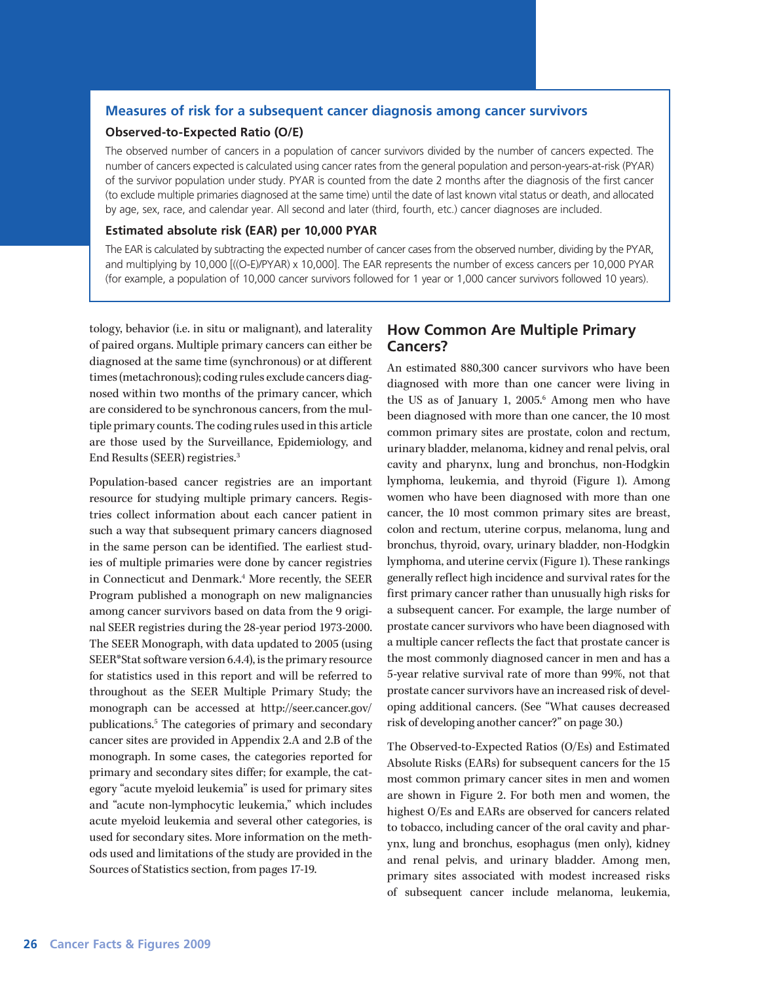### **Measures of risk for a subsequent cancer diagnosis among cancer survivors**

### **Observed-to-Expected Ratio (O/E)**

The observed number of cancers in a population of cancer survivors divided by the number of cancers expected. The number of cancers expected is calculated using cancer rates from the general population and person-years-at-risk (PYAR) of the survivor population under study. PYAR is counted from the date 2 months after the diagnosis of the first cancer (to exclude multiple primaries diagnosed at the same time) until the date of last known vital status or death, and allocated by age, sex, race, and calendar year. All second and later (third, fourth, etc.) cancer diagnoses are included.

### **Estimated absolute risk (EAR) per 10,000 PYAR**

The EAR is calculated by subtracting the expected number of cancer cases from the observed number, dividing by the PYAR, and multiplying by 10,000 [((O-E)/PYAR) x 10,000]. The EAR represents the number of excess cancers per 10,000 PYAR (for example, a population of 10,000 cancer survivors followed for 1 year or 1,000 cancer survivors followed 10 years).

tology, behavior (i.e. in situ or malignant), and laterality of paired organs. Multiple primary cancers can either be diagnosed at the same time (synchronous) or at different times (metachronous); coding rules exclude cancers diagnosed within two months of the primary cancer, which are considered to be synchronous cancers, from the multiple primary counts. The coding rules used in this article are those used by the Surveillance, Epidemiology, and End Results (SEER) registries.3

Population-based cancer registries are an important resource for studying multiple primary cancers. Registries collect information about each cancer patient in such a way that subsequent primary cancers diagnosed in the same person can be identified. The earliest studies of multiple primaries were done by cancer registries in Connecticut and Denmark.4 More recently, the SEER Program published a monograph on new malignancies among cancer survivors based on data from the 9 original SEER registries during the 28-year period 1973-2000. The SEER Monograph, with data updated to 2005 (using SEER\*Stat software version 6.4.4), is the primary resource for statistics used in this report and will be referred to throughout as the SEER Multiple Primary Study; the monograph can be accessed at http://seer.cancer.gov/ publications.5 The categories of primary and secondary cancer sites are provided in Appendix 2.A and 2.B of the monograph. In some cases, the categories reported for primary and secondary sites differ; for example, the category "acute myeloid leukemia" is used for primary sites and "acute non-lymphocytic leukemia," which includes acute myeloid leukemia and several other categories, is used for secondary sites. More information on the methods used and limitations of the study are provided in the Sources of Statistics section, from pages 17-19.

# **How Common Are Multiple Primary Cancers?**

An estimated 880,300 cancer survivors who have been diagnosed with more than one cancer were living in the US as of January 1, 2005.<sup>6</sup> Among men who have been diagnosed with more than one cancer, the 10 most common primary sites are prostate, colon and rectum, urinary bladder, melanoma, kidney and renal pelvis, oral cavity and pharynx, lung and bronchus, non-Hodgkin lymphoma, leukemia, and thyroid (Figure 1). Among women who have been diagnosed with more than one cancer, the 10 most common primary sites are breast, colon and rectum, uterine corpus, melanoma, lung and bronchus, thyroid, ovary, urinary bladder, non-Hodgkin lymphoma, and uterine cervix (Figure 1). These rankings generally reflect high incidence and survival rates for the first primary cancer rather than unusually high risks for a subsequent cancer. For example, the large number of prostate cancer survivors who have been diagnosed with a multiple cancer reflects the fact that prostate cancer is the most commonly diagnosed cancer in men and has a 5-year relative survival rate of more than 99%, not that prostate cancer survivors have an increased risk of developing additional cancers. (See "What causes decreased risk of developing another cancer?" on page 30.)

The Observed-to-Expected Ratios (O/Es) and Estimated Absolute Risks (EARs) for subsequent cancers for the 15 most common primary cancer sites in men and women are shown in Figure 2. For both men and women, the highest O/Es and EARs are observed for cancers related to tobacco, including cancer of the oral cavity and pharynx, lung and bronchus, esophagus (men only), kidney and renal pelvis, and urinary bladder. Among men, primary sites associated with modest increased risks of subsequent cancer include melanoma, leukemia,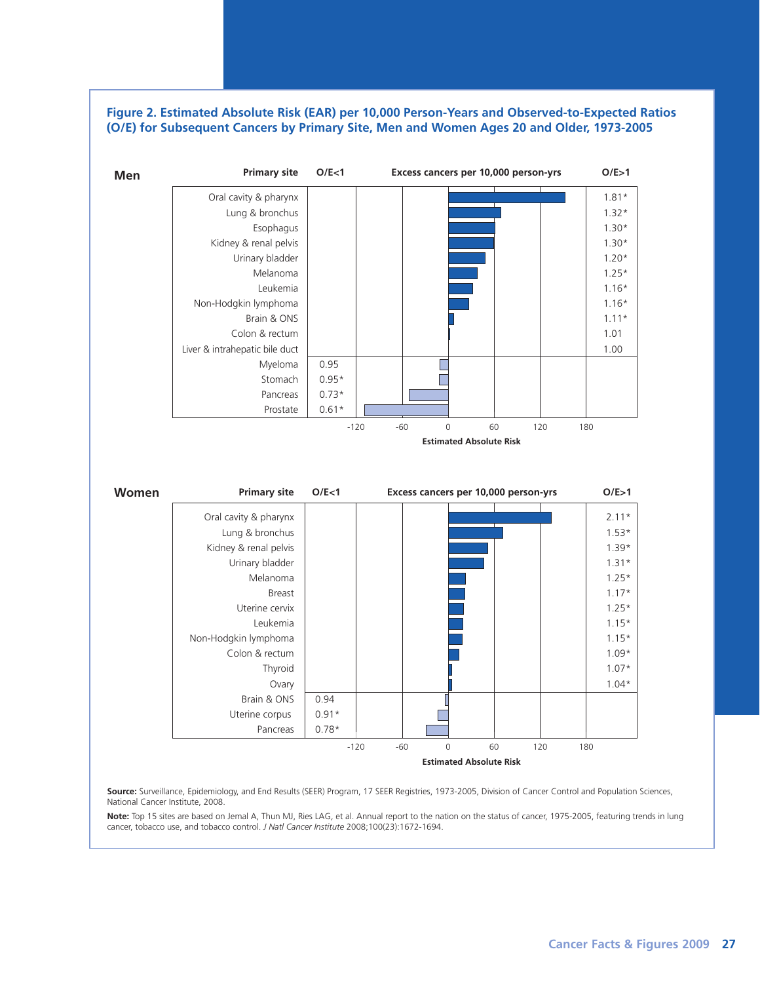### **Figure 2. Estimated Absolute Risk (EAR) per 10,000 Person-Years and Observed-to-Expected Ratios (O/E) for Subsequent Cancers by Primary Site, Men and Women Ages 20 and Older, 1973-2005**



**Source:** Surveillance, Epidemiology, and End Results (SEER) Program, 17 SEER Registries, 1973-2005, Division of Cancer Control and Population Sciences, National Cancer Institute, 2008.

**Note:** Top 15 sites are based on Jemal A, Thun MJ, Ries LAG, et al. Annual report to the nation on the status of cancer, 1975-2005, featuring trends in lung cancer, tobacco use, and tobacco control. *J Natl Cancer Institute* 2008;100(23):1672-1694.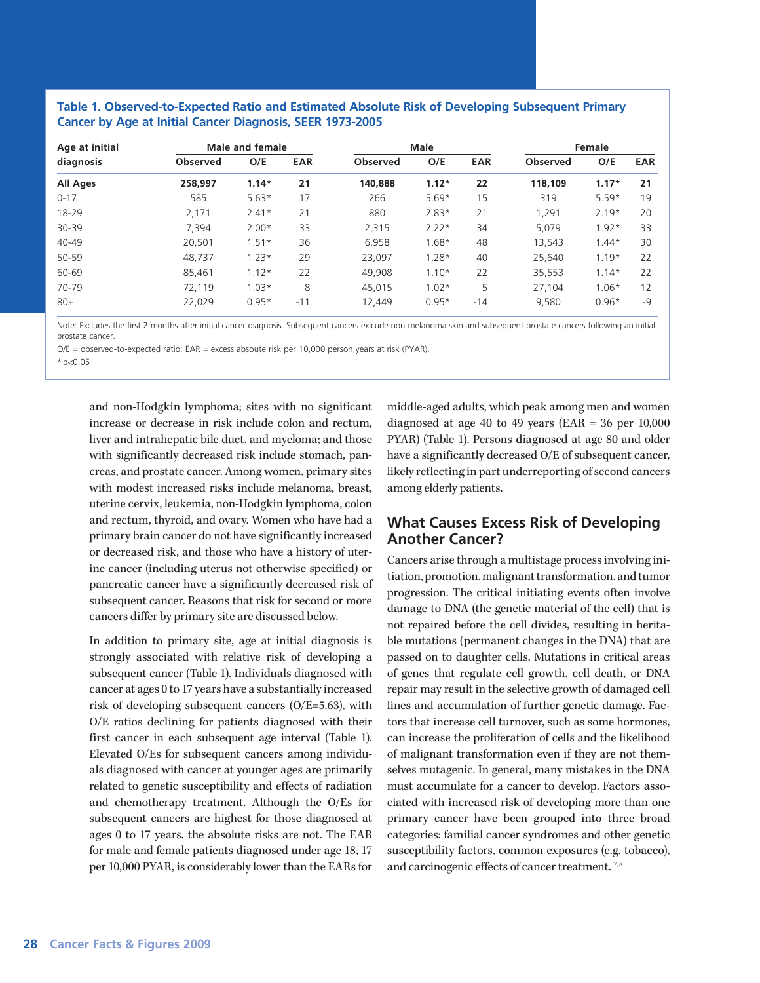### **Table 1. Observed-to-Expected Ratio and Estimated Absolute Risk of Developing Subsequent Primary Cancer by Age at Initial Cancer Diagnosis, SEER 1973-2005**

| Age at initial  |                 | <b>Male and female</b> |            |                 | Male    | Female |                 |         |            |
|-----------------|-----------------|------------------------|------------|-----------------|---------|--------|-----------------|---------|------------|
| diagnosis       | <b>Observed</b> | O/E                    | <b>EAR</b> | <b>Observed</b> | O/E     | EAR    | <b>Observed</b> | O/E     | <b>EAR</b> |
| <b>All Ages</b> | 258.997         | $1.14*$                | 21         | 140.888         | $1.12*$ | 22     | 118,109         | $1.17*$ | 21         |
| $0 - 17$        | 585             | $5.63*$                | 17         | 266             | $5.69*$ | 15     | 319             | $5.59*$ | 19         |
| 18-29           | 2,171           | $2.41*$                | 21         | 880             | $2.83*$ | 21     | 1,291           | $2.19*$ | 20         |
| 30-39           | 7.394           | $2.00*$                | 33         | 2.315           | $2.22*$ | 34     | 5.079           | $1.92*$ | 33         |
| 40-49           | 20.501          | $1.51*$                | 36         | 6.958           | $1.68*$ | 48     | 13.543          | $1.44*$ | 30         |
| 50-59           | 48.737          | $1.23*$                | 29         | 23.097          | $1.28*$ | 40     | 25,640          | $1.19*$ | 22         |
| 60-69           | 85,461          | $1.12*$                | 22         | 49.908          | $1.10*$ | 22     | 35,553          | $1.14*$ | 22         |
| 70-79           | 72.119          | $1.03*$                | 8          | 45.015          | $1.02*$ | 5      | 27.104          | $1.06*$ | 12         |
| $80+$           | 22,029          | $0.95*$                | $-11$      | 12,449          | $0.95*$ | $-14$  | 9,580           | $0.96*$ | $-9$       |

Note: Excludes the first 2 months after initial cancer diagnosis. Subsequent cancers exlcude non-melanoma skin and subsequent prostate cancers following an initial prostate cancer

O/E = observed-to-expected ratio; EAR = excess absoute risk per 10,000 person years at risk (PYAR).

\*p<0.05

and non-Hodgkin lymphoma; sites with no significant increase or decrease in risk include colon and rectum, liver and intrahepatic bile duct, and myeloma; and those with significantly decreased risk include stomach, pancreas, and prostate cancer. Among women, primary sites with modest increased risks include melanoma, breast, uterine cervix, leukemia, non-Hodgkin lymphoma, colon and rectum, thyroid, and ovary. Women who have had a primary brain cancer do not have significantly increased or decreased risk, and those who have a history of uterine cancer (including uterus not otherwise specified) or pancreatic cancer have a significantly decreased risk of subsequent cancer. Reasons that risk for second or more cancers differ by primary site are discussed below.

In addition to primary site, age at initial diagnosis is strongly associated with relative risk of developing a subsequent cancer (Table 1). Individuals diagnosed with cancer at ages 0 to 17 years have a substantially increased risk of developing subsequent cancers (O/E=5.63), with O/E ratios declining for patients diagnosed with their first cancer in each subsequent age interval (Table 1). Elevated O/Es for subsequent cancers among individuals diagnosed with cancer at younger ages are primarily related to genetic susceptibility and effects of radiation and chemotherapy treatment. Although the O/Es for subsequent cancers are highest for those diagnosed at ages 0 to 17 years, the absolute risks are not. The EAR for male and female patients diagnosed under age 18, 17 per 10,000 PYAR, is considerably lower than the EARs for middle-aged adults, which peak among men and women diagnosed at age 40 to 49 years (EAR =  $36$  per  $10,000$ PYAR) (Table 1). Persons diagnosed at age 80 and older have a significantly decreased O/E of subsequent cancer, likely reflecting in part underreporting of second cancers among elderly patients.

# **What Causes Excess Risk of Developing Another Cancer?**

Cancers arise through a multistage process involving initiation, promotion, malignant transformation, and tumor progression. The critical initiating events often involve damage to DNA (the genetic material of the cell) that is not repaired before the cell divides, resulting in heritable mutations (permanent changes in the DNA) that are passed on to daughter cells. Mutations in critical areas of genes that regulate cell growth, cell death, or DNA repair may result in the selective growth of damaged cell lines and accumulation of further genetic damage. Factors that increase cell turnover, such as some hormones, can increase the proliferation of cells and the likelihood of malignant transformation even if they are not themselves mutagenic. In general, many mistakes in the DNA must accumulate for a cancer to develop. Factors associated with increased risk of developing more than one primary cancer have been grouped into three broad categories: familial cancer syndromes and other genetic susceptibility factors, common exposures (e.g. tobacco), and carcinogenic effects of cancer treatment.<sup>7,8</sup>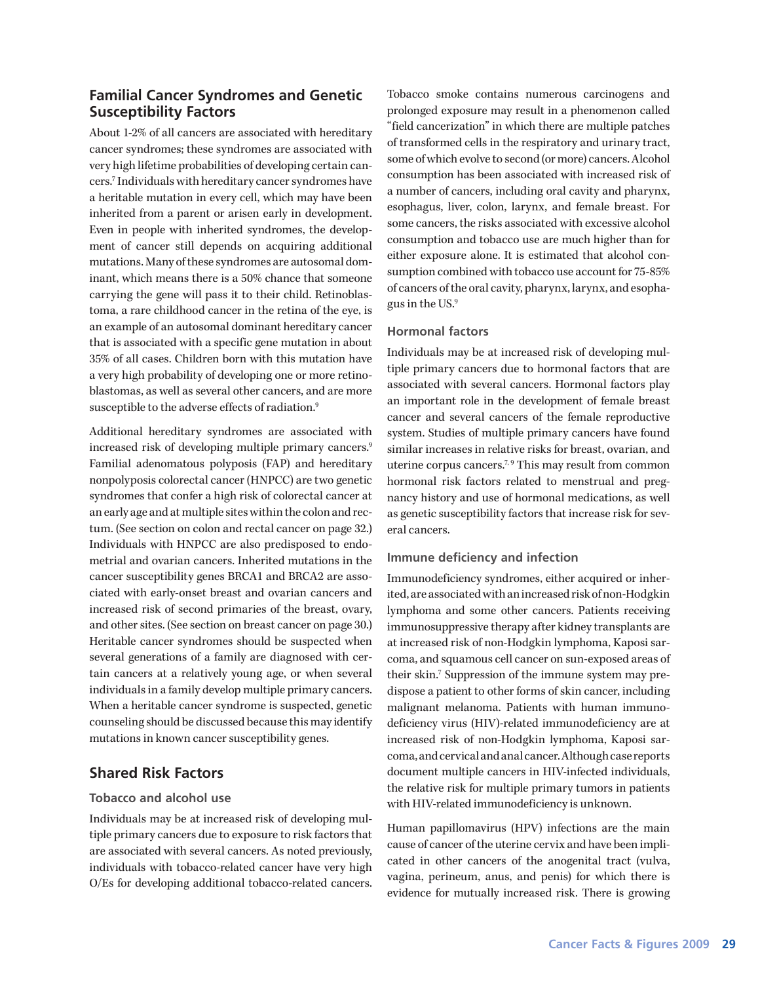# **Familial Cancer Syndromes and Genetic Susceptibility Factors**

About 1-2% of all cancers are associated with hereditary cancer syndromes; these syndromes are associated with very high lifetime probabilities of developing certain cancers.7 Individuals with hereditary cancer syndromes have a heritable mutation in every cell, which may have been inherited from a parent or arisen early in development. Even in people with inherited syndromes, the development of cancer still depends on acquiring additional mutations. Many of these syndromes are autosomal dominant, which means there is a 50% chance that someone carrying the gene will pass it to their child. Retinoblastoma, a rare childhood cancer in the retina of the eye, is an example of an autosomal dominant hereditary cancer that is associated with a specific gene mutation in about 35% of all cases. Children born with this mutation have a very high probability of developing one or more retinoblastomas, as well as several other cancers, and are more susceptible to the adverse effects of radiation.<sup>9</sup>

Additional hereditary syndromes are associated with increased risk of developing multiple primary cancers.<sup>9</sup> Familial adenomatous polyposis (FAP) and hereditary nonpolyposis colorectal cancer (HNPCC) are two genetic syndromes that confer a high risk of colorectal cancer at an early age and at multiple sites within the colon and rectum. (See section on colon and rectal cancer on page 32.) Individuals with HNPCC are also predisposed to endometrial and ovarian cancers. Inherited mutations in the cancer susceptibility genes BRCA1 and BRCA2 are associated with early-onset breast and ovarian cancers and increased risk of second primaries of the breast, ovary, and other sites. (See section on breast cancer on page 30.) Heritable cancer syndromes should be suspected when several generations of a family are diagnosed with certain cancers at a relatively young age, or when several individuals in a family develop multiple primary cancers. When a heritable cancer syndrome is suspected, genetic counseling should be discussed because this may identify mutations in known cancer susceptibility genes.

# **Shared Risk Factors**

## **Tobacco and alcohol use**

Individuals may be at increased risk of developing multiple primary cancers due to exposure to risk factors that are associated with several cancers. As noted previously, individuals with tobacco-related cancer have very high O/Es for developing additional tobacco-related cancers. Tobacco smoke contains numerous carcinogens and prolonged exposure may result in a phenomenon called "field cancerization" in which there are multiple patches of transformed cells in the respiratory and urinary tract, some of which evolve to second (or more) cancers. Alcohol consumption has been associated with increased risk of a number of cancers, including oral cavity and pharynx, esophagus, liver, colon, larynx, and female breast. For some cancers, the risks associated with excessive alcohol consumption and tobacco use are much higher than for either exposure alone. It is estimated that alcohol consumption combined with tobacco use account for 75-85% of cancers of the oral cavity, pharynx, larynx, and esophagus in the US.9

## **Hormonal factors**

Individuals may be at increased risk of developing multiple primary cancers due to hormonal factors that are associated with several cancers. Hormonal factors play an important role in the development of female breast cancer and several cancers of the female reproductive system. Studies of multiple primary cancers have found similar increases in relative risks for breast, ovarian, and uterine corpus cancers.<sup>7,9</sup> This may result from common hormonal risk factors related to menstrual and pregnancy history and use of hormonal medications, as well as genetic susceptibility factors that increase risk for several cancers.

### **Immune deficiency and infection**

Immunodeficiency syndromes, either acquired or inherited, are associated with an increased risk of non-Hodgkin lymphoma and some other cancers. Patients receiving immunosuppressive therapy after kidney transplants are at increased risk of non-Hodgkin lymphoma, Kaposi sarcoma, and squamous cell cancer on sun-exposed areas of their skin.<sup>7</sup> Suppression of the immune system may predispose a patient to other forms of skin cancer, including malignant melanoma. Patients with human immunodeficiency virus (HIV)-related immunodeficiency are at increased risk of non-Hodgkin lymphoma, Kaposi sarcoma, and cervical and anal cancer. Although case reports document multiple cancers in HIV-infected individuals, the relative risk for multiple primary tumors in patients with HIV-related immunodeficiency is unknown.

Human papillomavirus (HPV) infections are the main cause of cancer of the uterine cervix and have been implicated in other cancers of the anogenital tract (vulva, vagina, perineum, anus, and penis) for which there is evidence for mutually increased risk. There is growing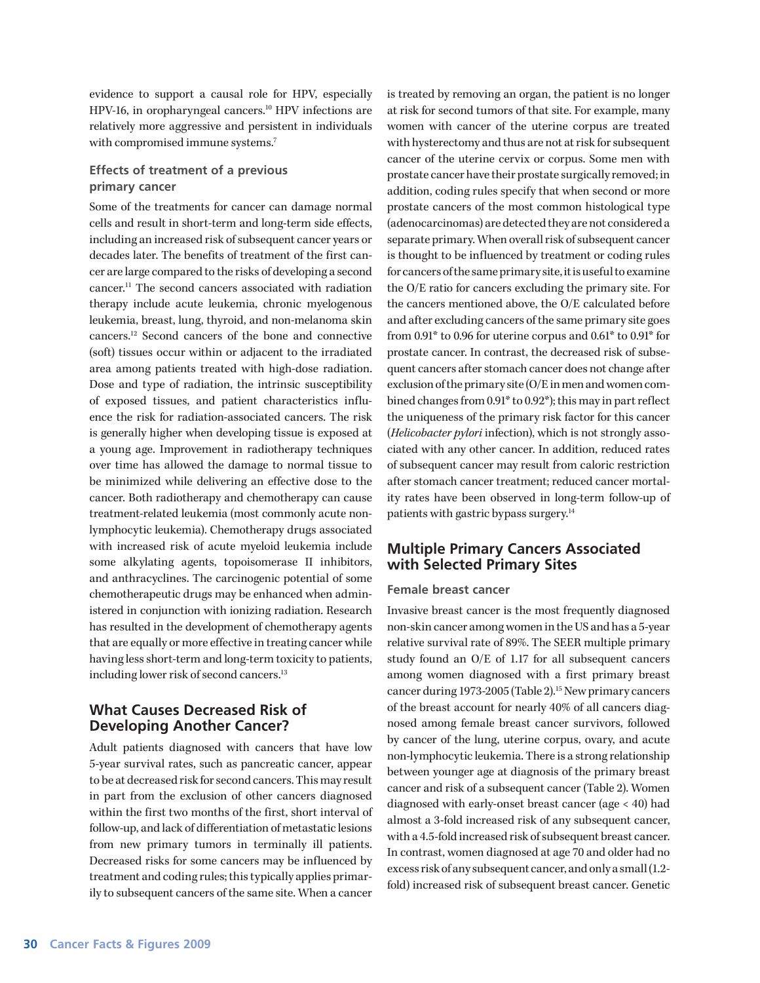evidence to support a causal role for HPV, especially HPV-16, in oropharyngeal cancers.<sup>10</sup> HPV infections are relatively more aggressive and persistent in individuals with compromised immune systems.<sup>7</sup>

## **Effects of treatment of a previous primary cancer**

Some of the treatments for cancer can damage normal cells and result in short-term and long-term side effects, including an increased risk of subsequent cancer years or decades later. The benefits of treatment of the first cancer are large compared to the risks of developing a second cancer.11 The second cancers associated with radiation therapy include acute leukemia, chronic myelogenous leukemia, breast, lung, thyroid, and non-melanoma skin cancers.12 Second cancers of the bone and connective (soft) tissues occur within or adjacent to the irradiated area among patients treated with high-dose radiation. Dose and type of radiation, the intrinsic susceptibility of exposed tissues, and patient characteristics influence the risk for radiation-associated cancers. The risk is generally higher when developing tissue is exposed at a young age. Improvement in radiotherapy techniques over time has allowed the damage to normal tissue to be minimized while delivering an effective dose to the cancer. Both radiotherapy and chemotherapy can cause treatment-related leukemia (most commonly acute nonlymphocytic leukemia). Chemotherapy drugs associated with increased risk of acute myeloid leukemia include some alkylating agents, topoisomerase II inhibitors, and anthracyclines. The carcinogenic potential of some chemotherapeutic drugs may be enhanced when administered in conjunction with ionizing radiation. Research has resulted in the development of chemotherapy agents that are equally or more effective in treating cancer while having less short-term and long-term toxicity to patients, including lower risk of second cancers.<sup>13</sup>

# **What Causes Decreased Risk of Developing Another Cancer?**

Adult patients diagnosed with cancers that have low 5-year survival rates, such as pancreatic cancer, appear to be at decreased risk for second cancers. This may result in part from the exclusion of other cancers diagnosed within the first two months of the first, short interval of follow-up, and lack of differentiation of metastatic lesions from new primary tumors in terminally ill patients. Decreased risks for some cancers may be influenced by treatment and coding rules; this typically applies primarily to subsequent cancers of the same site. When a cancer

is treated by removing an organ, the patient is no longer at risk for second tumors of that site. For example, many women with cancer of the uterine corpus are treated with hysterectomy and thus are not at risk for subsequent cancer of the uterine cervix or corpus. Some men with prostate cancer have their prostate surgically removed; in addition, coding rules specify that when second or more prostate cancers of the most common histological type (adenocarcinomas) are detected they are not considered a separate primary. When overall risk of subsequent cancer is thought to be influenced by treatment or coding rules for cancers of the same primary site, it is useful to examine the O/E ratio for cancers excluding the primary site. For the cancers mentioned above, the O/E calculated before and after excluding cancers of the same primary site goes from 0.91\* to 0.96 for uterine corpus and 0.61\* to 0.91\* for prostate cancer. In contrast, the decreased risk of subsequent cancers after stomach cancer does not change after exclusion of the primary site (O/E in men and women combined changes from 0.91\* to 0.92\*); this may in part reflect the uniqueness of the primary risk factor for this cancer (*Helicobacter pylori* infection), which is not strongly associated with any other cancer. In addition, reduced rates of subsequent cancer may result from caloric restriction after stomach cancer treatment; reduced cancer mortality rates have been observed in long-term follow-up of patients with gastric bypass surgery.<sup>14</sup>

# **Multiple Primary Cancers Associated with Selected Primary Sites**

### **Female breast cancer**

Invasive breast cancer is the most frequently diagnosed non-skin cancer among women in the US and has a 5-year relative survival rate of 89%. The SEER multiple primary study found an O/E of 1.17 for all subsequent cancers among women diagnosed with a first primary breast cancer during 1973-2005 (Table 2).<sup>15</sup> New primary cancers of the breast account for nearly 40% of all cancers diagnosed among female breast cancer survivors, followed by cancer of the lung, uterine corpus, ovary, and acute non-lymphocytic leukemia. There is a strong relationship between younger age at diagnosis of the primary breast cancer and risk of a subsequent cancer (Table 2). Women diagnosed with early-onset breast cancer (age < 40) had almost a 3-fold increased risk of any subsequent cancer, with a 4.5-fold increased risk of subsequent breast cancer. In contrast, women diagnosed at age 70 and older had no excess risk of any subsequent cancer, and only a small (1.2 fold) increased risk of subsequent breast cancer. Genetic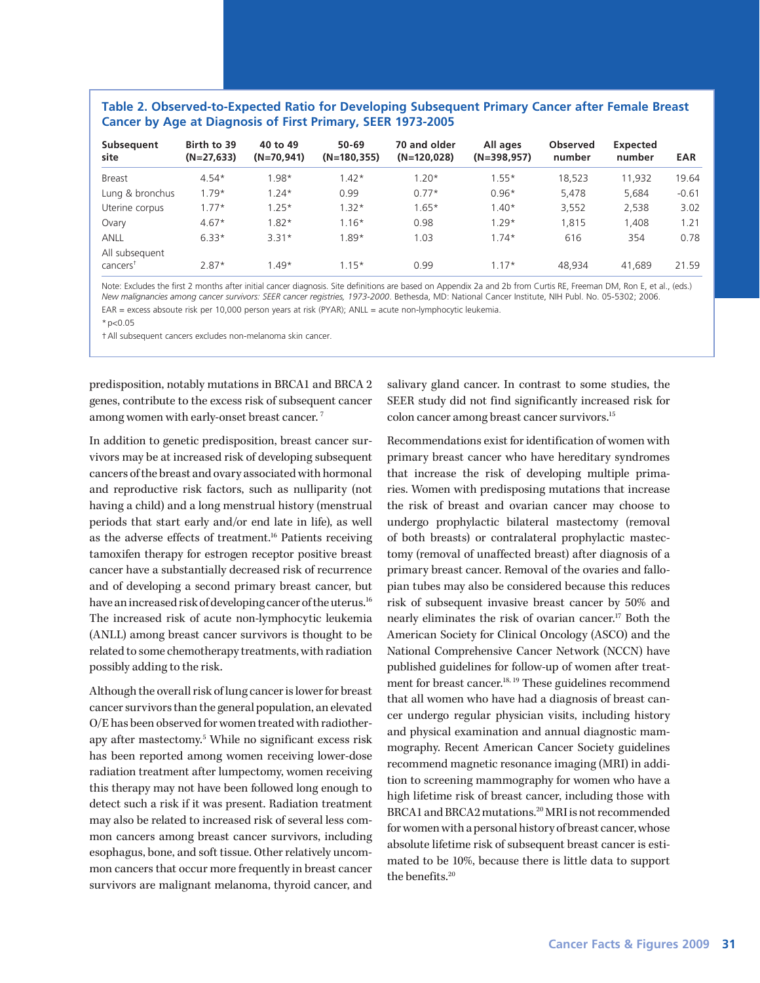### **Table 2. Observed-to-Expected Ratio for Developing Subsequent Primary Cancer after Female Breast Cancer by Age at Diagnosis of First Primary, SEER 1973-2005**

| Subsequent<br>site                     | Birth to 39<br>$(N=27,633)$ | 40 to 49<br>$(N=70, 941)$ | $50 - 69$<br>$(N=180, 355)$ | 70 and older<br>$(N=120, 028)$ | All ages<br>$(N=398,957)$ | <b>Observed</b><br>number | Expected<br>number | <b>EAR</b> |
|----------------------------------------|-----------------------------|---------------------------|-----------------------------|--------------------------------|---------------------------|---------------------------|--------------------|------------|
| <b>Breast</b>                          | $4.54*$                     | $1.98*$                   | $1.42*$                     | $1.20*$                        | $1.55*$                   | 18,523                    | 11,932             | 19.64      |
| Lung & bronchus                        | $1.79*$                     | $1.24*$                   | 0.99                        | $0.77*$                        | $0.96*$                   | 5,478                     | 5,684              | $-0.61$    |
| Uterine corpus                         | $1.77*$                     | $1.25*$                   | $1.32*$                     | $1.65*$                        | $1.40*$                   | 3,552                     | 2,538              | 3.02       |
| Ovary                                  | $4.67*$                     | $1.82*$                   | $1.16*$                     | 0.98                           | $1.29*$                   | 1.815                     | 1.408              | .21        |
| <b>ANLL</b>                            | $6.33*$                     | $3.31*$                   | $1.89*$                     | 1.03                           | $1.74*$                   | 616                       | 354                | 0.78       |
| All subsequent<br>cancers <sup>†</sup> | $2.87*$                     | $1.49*$                   | $1.15*$                     | 0.99                           | $1.17*$                   | 48.934                    | 41.689             | 21.59      |

Note: Excludes the first 2 months after initial cancer diagnosis. Site definitions are based on Appendix 2a and 2b from Curtis RE, Freeman DM, Ron E, et al., (eds.) *New malignancies among cancer survivors: SEER cancer registries, 1973-2000*. Bethesda, MD: National Cancer Institute, NIH Publ. No. 05-5302; 2006. EAR = excess absoute risk per 10,000 person years at risk (PYAR); ANLL = acute non-lymphocytic leukemia.

 $*p<0.05$ 

†All subsequent cancers excludes non-melanoma skin cancer.

predisposition, notably mutations in BRCA1 and BRCA 2 genes, contribute to the excess risk of subsequent cancer among women with early-onset breast cancer. 7

In addition to genetic predisposition, breast cancer survivors may be at increased risk of developing subsequent cancers of the breast and ovary associated with hormonal and reproductive risk factors, such as nulliparity (not having a child) and a long menstrual history (menstrual periods that start early and/or end late in life), as well as the adverse effects of treatment.16 Patients receiving tamoxifen therapy for estrogen receptor positive breast cancer have a substantially decreased risk of recurrence and of developing a second primary breast cancer, but have an increased risk of developing cancer of the uterus.<sup>16</sup> The increased risk of acute non-lymphocytic leukemia (ANLL) among breast cancer survivors is thought to be related to some chemotherapy treatments, with radiation possibly adding to the risk.

Although the overall risk of lung cancer is lower for breast cancer survivors than the general population, an elevated O/E has been observed for women treated with radiotherapy after mastectomy.<sup>5</sup> While no significant excess risk has been reported among women receiving lower-dose radiation treatment after lumpectomy, women receiving this therapy may not have been followed long enough to detect such a risk if it was present. Radiation treatment may also be related to increased risk of several less common cancers among breast cancer survivors, including esophagus, bone, and soft tissue. Other relatively uncommon cancers that occur more frequently in breast cancer survivors are malignant melanoma, thyroid cancer, and

salivary gland cancer. In contrast to some studies, the SEER study did not find significantly increased risk for colon cancer among breast cancer survivors.<sup>15</sup>

Recommendations exist for identification of women with primary breast cancer who have hereditary syndromes that increase the risk of developing multiple primaries. Women with predisposing mutations that increase the risk of breast and ovarian cancer may choose to undergo prophylactic bilateral mastectomy (removal of both breasts) or contralateral prophylactic mastectomy (removal of unaffected breast) after diagnosis of a primary breast cancer. Removal of the ovaries and fallopian tubes may also be considered because this reduces risk of subsequent invasive breast cancer by 50% and nearly eliminates the risk of ovarian cancer.17 Both the American Society for Clinical Oncology (ASCO) and the National Comprehensive Cancer Network (NCCN) have published guidelines for follow-up of women after treatment for breast cancer.<sup>18, 19</sup> These guidelines recommend that all women who have had a diagnosis of breast cancer undergo regular physician visits, including history and physical examination and annual diagnostic mammography. Recent American Cancer Society guidelines recommend magnetic resonance imaging (MRI) in addition to screening mammography for women who have a high lifetime risk of breast cancer, including those with BRCA1 and BRCA2 mutations.20 MRI is not recommended for women with a personal history of breast cancer, whose absolute lifetime risk of subsequent breast cancer is estimated to be 10%, because there is little data to support the benefits.<sup>20</sup>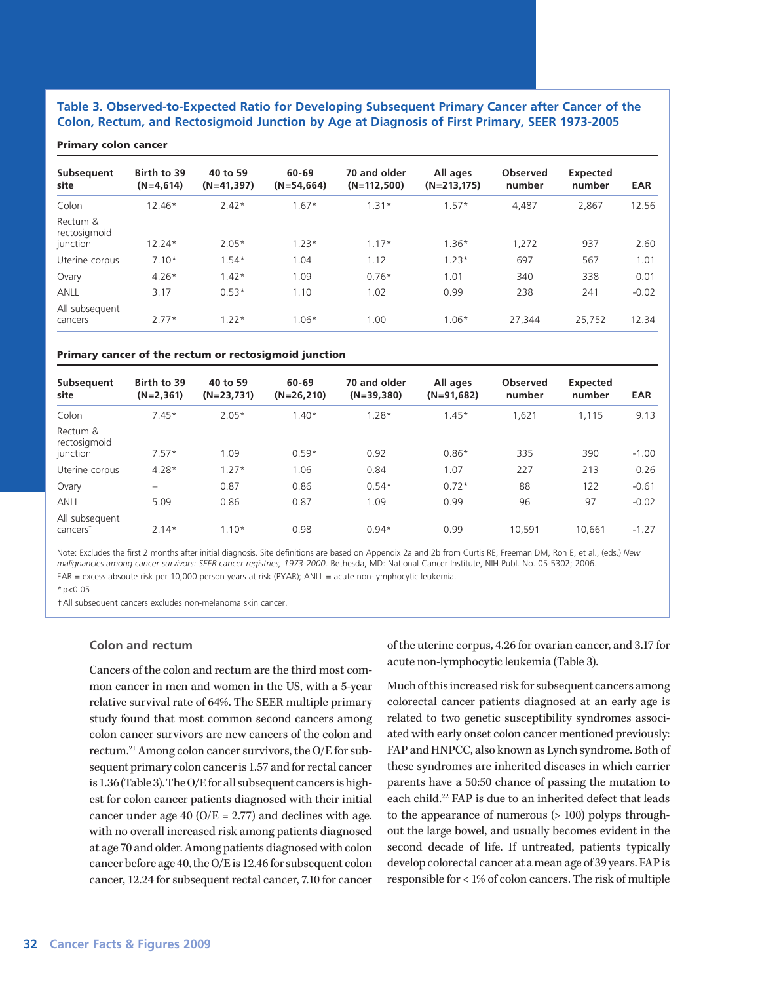### **Table 3. Observed-to-Expected Ratio for Developing Subsequent Primary Cancer after Cancer of the Colon, Rectum, and Rectosigmoid Junction by Age at Diagnosis of First Primary, SEER 1973-2005**

#### Primary colon cancer

| Subsequent<br>site                     | Birth to 39<br>$(N=4,614)$ | 40 to 59<br>$(N=41,397)$ | 60-69<br>$(N=54,664)$ | 70 and older<br>$(N=112,500)$ | All ages<br>$(N=213,175)$ | <b>Observed</b><br>number | Expected<br>number | <b>EAR</b> |
|----------------------------------------|----------------------------|--------------------------|-----------------------|-------------------------------|---------------------------|---------------------------|--------------------|------------|
|                                        |                            |                          |                       |                               |                           |                           |                    |            |
| Colon                                  | $12.46*$                   | $2.42*$                  | $.67*$                | $1.31*$                       | $1.57*$                   | 4,487                     | 2,867              | 12.56      |
| Rectum &<br>rectosigmoid<br>junction   | $12.24*$                   | $2.05*$                  | $1.23*$               | $1.17*$                       | $1.36*$                   | 1,272                     | 937                | 2.60       |
| Uterine corpus                         | $7.10*$                    | $1.54*$                  | 1.04                  | 1.12                          | $1.23*$                   | 697                       | 567                | 1.01       |
| Ovary                                  | $4.26*$                    | $1.42*$                  | 1.09                  | $0.76*$                       | 1.01                      | 340                       | 338                | 0.01       |
| <b>ANLL</b>                            | 3.17                       | $0.53*$                  | 1.10                  | 1.02                          | 0.99                      | 238                       | 241                | $-0.02$    |
| All subsequent<br>cancers <sup>†</sup> | $2.77*$                    | $1.22*$                  | $1.06*$               | 1.00                          | $1.06*$                   | 27.344                    | 25,752             | 12.34      |

#### Primary cancer of the rectum or rectosigmoid junction

| Subsequent<br>site                     | Birth to 39<br>$(N=2,361)$ | 40 to 59<br>$(N=23,731)$ | 60-69<br>$(N=26,210)$ | 70 and older<br>$(N=39,380)$ | All ages<br>$(N=91,682)$ | <b>Observed</b><br>number | Expected<br>number | <b>EAR</b> |
|----------------------------------------|----------------------------|--------------------------|-----------------------|------------------------------|--------------------------|---------------------------|--------------------|------------|
| Colon                                  | $7.45*$                    | $2.05*$                  | $1.40*$               | $1.28*$                      | $1.45*$                  | 1,621                     | 1,115              | 9.13       |
| Rectum &<br>rectosigmoid<br>junction   | $7.57*$                    | 1.09                     | $0.59*$               | 0.92                         | $0.86*$                  | 335                       | 390                | $-1.00$    |
| Uterine corpus                         | $4.28*$                    | $1.27*$                  | 1.06                  | 0.84                         | 1.07                     | 227                       | 213                | 0.26       |
| Ovary                                  | -                          | 0.87                     | 0.86                  | $0.54*$                      | $0.72*$                  | 88                        | 122                | $-0.61$    |
| <b>ANLL</b>                            | 5.09                       | 0.86                     | 0.87                  | 1.09                         | 0.99                     | 96                        | 97                 | $-0.02$    |
| All subsequent<br>cancers <sup>+</sup> | $2.14*$                    | $1.10*$                  | 0.98                  | $0.94*$                      | 0.99                     | 10,591                    | 10.661             | $-1.27$    |

Note: Excludes the first 2 months after initial diagnosis. Site definitions are based on Appendix 2a and 2b from Curtis RE, Freeman DM, Ron E, et al., (eds.) *New malignancies among cancer survivors: SEER cancer registries, 1973-2000*. Bethesda, MD: National Cancer Institute, NIH Publ. No. 05-5302; 2006. EAR = excess absoute risk per 10,000 person years at risk (PYAR); ANLL = acute non-lymphocytic leukemia.

 $*$  p<0.05

†All subsequent cancers excludes non-melanoma skin cancer.

### **Colon and rectum**

Cancers of the colon and rectum are the third most common cancer in men and women in the US, with a 5-year relative survival rate of 64%. The SEER multiple primary study found that most common second cancers among colon cancer survivors are new cancers of the colon and rectum.21 Among colon cancer survivors, the O/E for subsequent primary colon cancer is 1.57 and for rectal cancer is 1.36 (Table 3). The O/E for all subsequent cancers is highest for colon cancer patients diagnosed with their initial cancer under age 40 ( $O/E = 2.77$ ) and declines with age, with no overall increased risk among patients diagnosed at age 70 and older. Among patients diagnosed with colon cancer before age 40, the O/E is 12.46 for subsequent colon cancer, 12.24 for subsequent rectal cancer, 7.10 for cancer

of the uterine corpus, 4.26 for ovarian cancer, and 3.17 for acute non-lymphocytic leukemia (Table 3).

Much of this increased risk for subsequent cancers among colorectal cancer patients diagnosed at an early age is related to two genetic susceptibility syndromes associated with early onset colon cancer mentioned previously: FAP and HNPCC, also known as Lynch syndrome. Both of these syndromes are inherited diseases in which carrier parents have a 50:50 chance of passing the mutation to each child.<sup>22</sup> FAP is due to an inherited defect that leads to the appearance of numerous (> 100) polyps throughout the large bowel, and usually becomes evident in the second decade of life. If untreated, patients typically develop colorectal cancer at a mean age of 39 years. FAP is responsible for < 1% of colon cancers. The risk of multiple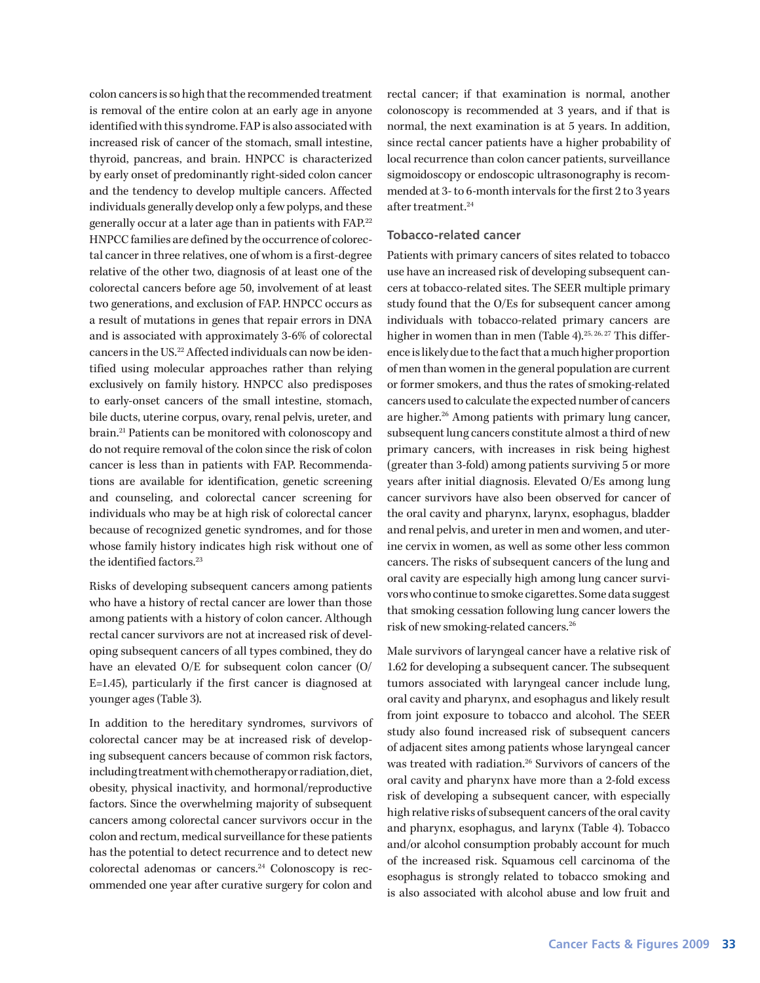colon cancers is so high that the recommended treatment is removal of the entire colon at an early age in anyone identified with this syndrome. FAP is also associated with increased risk of cancer of the stomach, small intestine, thyroid, pancreas, and brain. HNPCC is characterized by early onset of predominantly right-sided colon cancer and the tendency to develop multiple cancers. Affected individuals generally develop only a few polyps, and these generally occur at a later age than in patients with FAP.22 HNPCC families are defined by the occurrence of colorectal cancer in three relatives, one of whom is a first-degree relative of the other two, diagnosis of at least one of the colorectal cancers before age 50, involvement of at least two generations, and exclusion of FAP. HNPCC occurs as a result of mutations in genes that repair errors in DNA and is associated with approximately 3-6% of colorectal cancers in the US.<sup>22</sup> Affected individuals can now be identified using molecular approaches rather than relying exclusively on family history. HNPCC also predisposes to early-onset cancers of the small intestine, stomach, bile ducts, uterine corpus, ovary, renal pelvis, ureter, and brain.21 Patients can be monitored with colonoscopy and do not require removal of the colon since the risk of colon cancer is less than in patients with FAP. Recommendations are available for identification, genetic screening and counseling, and colorectal cancer screening for individuals who may be at high risk of colorectal cancer because of recognized genetic syndromes, and for those whose family history indicates high risk without one of the identified factors.<sup>23</sup>

Risks of developing subsequent cancers among patients who have a history of rectal cancer are lower than those among patients with a history of colon cancer. Although rectal cancer survivors are not at increased risk of developing subsequent cancers of all types combined, they do have an elevated O/E for subsequent colon cancer (O/ E=1.45), particularly if the first cancer is diagnosed at younger ages (Table 3).

In addition to the hereditary syndromes, survivors of colorectal cancer may be at increased risk of developing subsequent cancers because of common risk factors, including treatment with chemotherapy or radiation, diet, obesity, physical inactivity, and hormonal/reproductive factors. Since the overwhelming majority of subsequent cancers among colorectal cancer survivors occur in the colon and rectum, medical surveillance for these patients has the potential to detect recurrence and to detect new colorectal adenomas or cancers.<sup>24</sup> Colonoscopy is recommended one year after curative surgery for colon and

rectal cancer; if that examination is normal, another colonoscopy is recommended at 3 years, and if that is normal, the next examination is at 5 years. In addition, since rectal cancer patients have a higher probability of local recurrence than colon cancer patients, surveillance sigmoidoscopy or endoscopic ultrasonography is recommended at 3- to 6-month intervals for the first 2 to 3 years after treatment.<sup>24</sup>

### **Tobacco-related cancer**

Patients with primary cancers of sites related to tobacco use have an increased risk of developing subsequent cancers at tobacco-related sites. The SEER multiple primary study found that the O/Es for subsequent cancer among individuals with tobacco-related primary cancers are higher in women than in men (Table 4).<sup>25, 26, 27</sup> This difference is likely due to the fact that a much higher proportion of men than women in the general population are current or former smokers, and thus the rates of smoking-related cancers used to calculate the expected number of cancers are higher.<sup>26</sup> Among patients with primary lung cancer, subsequent lung cancers constitute almost a third of new primary cancers, with increases in risk being highest (greater than 3-fold) among patients surviving 5 or more years after initial diagnosis. Elevated O/Es among lung cancer survivors have also been observed for cancer of the oral cavity and pharynx, larynx, esophagus, bladder and renal pelvis, and ureter in men and women, and uterine cervix in women, as well as some other less common cancers. The risks of subsequent cancers of the lung and oral cavity are especially high among lung cancer survivors who continue to smoke cigarettes. Some data suggest that smoking cessation following lung cancer lowers the risk of new smoking-related cancers.26

Male survivors of laryngeal cancer have a relative risk of 1.62 for developing a subsequent cancer. The subsequent tumors associated with laryngeal cancer include lung, oral cavity and pharynx, and esophagus and likely result from joint exposure to tobacco and alcohol. The SEER study also found increased risk of subsequent cancers of adjacent sites among patients whose laryngeal cancer was treated with radiation.<sup>26</sup> Survivors of cancers of the oral cavity and pharynx have more than a 2-fold excess risk of developing a subsequent cancer, with especially high relative risks of subsequent cancers of the oral cavity and pharynx, esophagus, and larynx (Table 4). Tobacco and/or alcohol consumption probably account for much of the increased risk. Squamous cell carcinoma of the esophagus is strongly related to tobacco smoking and is also associated with alcohol abuse and low fruit and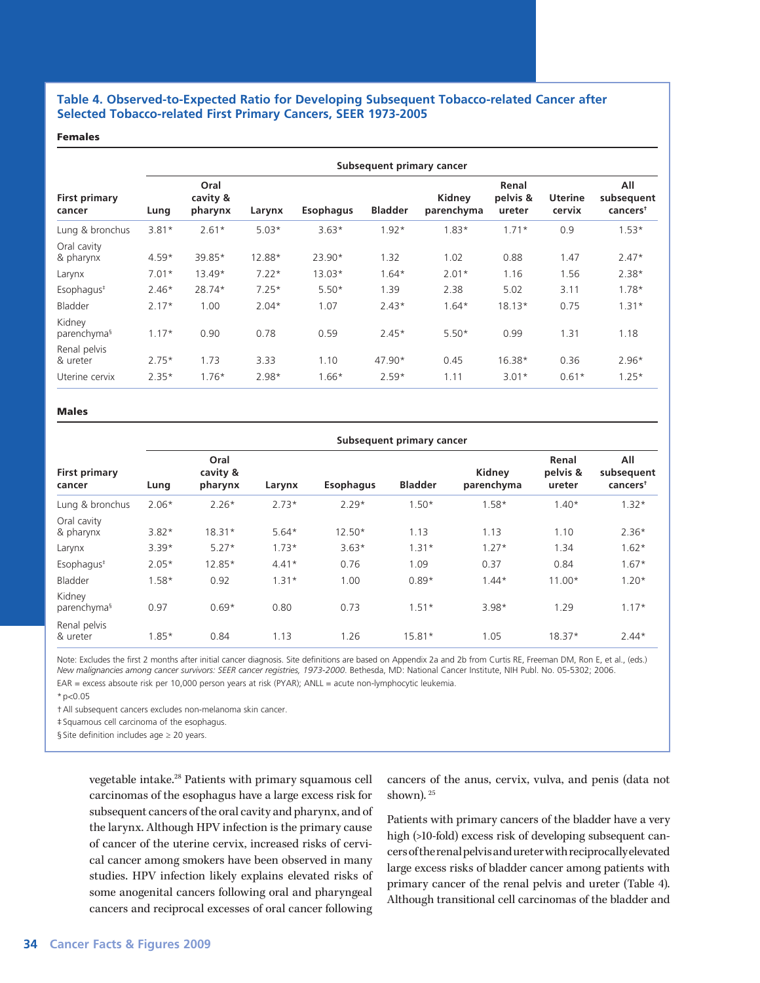### **Table 4. Observed-to-Expected Ratio for Developing Subsequent Tobacco-related Cancer after Selected Tobacco-related First Primary Cancers, SEER 1973-2005**

#### Females

| <b>First primary</b><br>cancer    | Subsequent primary cancer |                             |         |                  |                |                      |                             |                          |                                           |  |  |
|-----------------------------------|---------------------------|-----------------------------|---------|------------------|----------------|----------------------|-----------------------------|--------------------------|-------------------------------------------|--|--|
|                                   | Lung                      | Oral<br>cavity &<br>pharynx | Larynx  | <b>Esophagus</b> | <b>Bladder</b> | Kidney<br>parenchyma | Renal<br>pelvis &<br>ureter | <b>Uterine</b><br>cervix | All<br>subsequent<br>cancers <sup>†</sup> |  |  |
| Lung & bronchus                   | $3.81*$                   | $2.61*$                     | $5.03*$ | $3.63*$          | $1.92*$        | $1.83*$              | $1.71*$                     | 0.9                      | $1.53*$                                   |  |  |
| Oral cavity<br>& pharynx          | $4.59*$                   | 39.85*                      | 12.88*  | $23.90*$         | 1.32           | 1.02                 | 0.88                        | 1.47                     | $2.47*$                                   |  |  |
| Larynx                            | $7.01*$                   | 13.49*                      | $7.22*$ | $13.03*$         | $1.64*$        | $2.01*$              | 1.16                        | 1.56                     | $2.38*$                                   |  |  |
| Esophagus <sup>#</sup>            | $2.46*$                   | 28.74*                      | $7.25*$ | $5.50*$          | 1.39           | 2.38                 | 5.02                        | 3.11                     | $1.78*$                                   |  |  |
| Bladder                           | $2.17*$                   | 1.00                        | $2.04*$ | 1.07             | $2.43*$        | $1.64*$              | $18.13*$                    | 0.75                     | $1.31*$                                   |  |  |
| Kidney<br>parenchyma <sup>§</sup> | $1.17*$                   | 0.90                        | 0.78    | 0.59             | $2.45*$        | $5.50*$              | 0.99                        | 1.31                     | 1.18                                      |  |  |
| Renal pelvis<br>& ureter          | $2.75*$                   | 1.73                        | 3.33    | 1.10             | $47.90*$       | 0.45                 | $16.38*$                    | 0.36                     | $2.96*$                                   |  |  |
| Uterine cervix                    | $2.35*$                   | $1.76*$                     | $2.98*$ | $1.66*$          | $2.59*$        | 1.11                 | $3.01*$                     | $0.61*$                  | $1.25*$                                   |  |  |

#### Males

| <b>First primary</b><br>cancer    | Subsequent primary cancer |                             |         |                  |                |                      |                             |                                           |  |  |  |
|-----------------------------------|---------------------------|-----------------------------|---------|------------------|----------------|----------------------|-----------------------------|-------------------------------------------|--|--|--|
|                                   | Lung                      | Oral<br>cavity &<br>pharynx | Larynx  | <b>Esophagus</b> | <b>Bladder</b> | Kidney<br>parenchyma | Renal<br>pelvis &<br>ureter | All<br>subsequent<br>cancers <sup>†</sup> |  |  |  |
| Lung & bronchus                   | $2.06*$                   | $2.26*$                     | $2.73*$ | $2.29*$          | $1.50*$        | $1.58*$              | $1.40*$                     | $1.32*$                                   |  |  |  |
| Oral cavity<br>& pharynx          | $3.82*$                   | $18.31*$                    | $5.64*$ | $12.50*$         | 1.13           | 1.13                 | 1.10                        | $2.36*$                                   |  |  |  |
| Larynx                            | $3.39*$                   | $5.27*$                     | $1.73*$ | $3.63*$          | $1.31*$        | $1.27*$              | 1.34                        | $1.62*$                                   |  |  |  |
| Esophagus <sup>#</sup>            | $2.05*$                   | 12.85*                      | $4.41*$ | 0.76             | 1.09           | 0.37                 | 0.84                        | $1.67*$                                   |  |  |  |
| Bladder                           | $1.58*$                   | 0.92                        | $1.31*$ | 1.00             | $0.89*$        | $1.44*$              | $11.00*$                    | $1.20*$                                   |  |  |  |
| Kidney<br>parenchyma <sup>§</sup> | 0.97                      | $0.69*$                     | 0.80    | 0.73             | $1.51*$        | $3.98*$              | 1.29                        | $1.17*$                                   |  |  |  |
| Renal pelvis<br>& ureter          | $1.85*$                   | 0.84                        | 1.13    | 1.26             | 15.81*         | 1.05                 | $18.37*$                    | $2.44*$                                   |  |  |  |

Note: Excludes the first 2 months after initial cancer diagnosis. Site definitions are based on Appendix 2a and 2b from Curtis RE, Freeman DM, Ron E, et al., (eds.) *New malignancies among cancer survivors: SEER cancer registries, 1973-2000*. Bethesda, MD: National Cancer Institute, NIH Publ. No. 05-5302; 2006.

EAR = excess absoute risk per 10,000 person years at risk (PYAR); ANLL = acute non-lymphocytic leukemia.

 $*n<0.05$ 

†All subsequent cancers excludes non-melanoma skin cancer.

‡Squamous cell carcinoma of the esophagus.

§ Site definition includes age ≥ 20 years.

vegetable intake.28 Patients with primary squamous cell carcinomas of the esophagus have a large excess risk for subsequent cancers of the oral cavity and pharynx, and of the larynx. Although HPV infection is the primary cause of cancer of the uterine cervix, increased risks of cervical cancer among smokers have been observed in many studies. HPV infection likely explains elevated risks of some anogenital cancers following oral and pharyngeal cancers and reciprocal excesses of oral cancer following

cancers of the anus, cervix, vulva, and penis (data not shown).<sup>25</sup>

Patients with primary cancers of the bladder have a very high (>10-fold) excess risk of developing subsequent cancers of the renal pelvis and ureter with reciprocally elevated large excess risks of bladder cancer among patients with primary cancer of the renal pelvis and ureter (Table 4). Although transitional cell carcinomas of the bladder and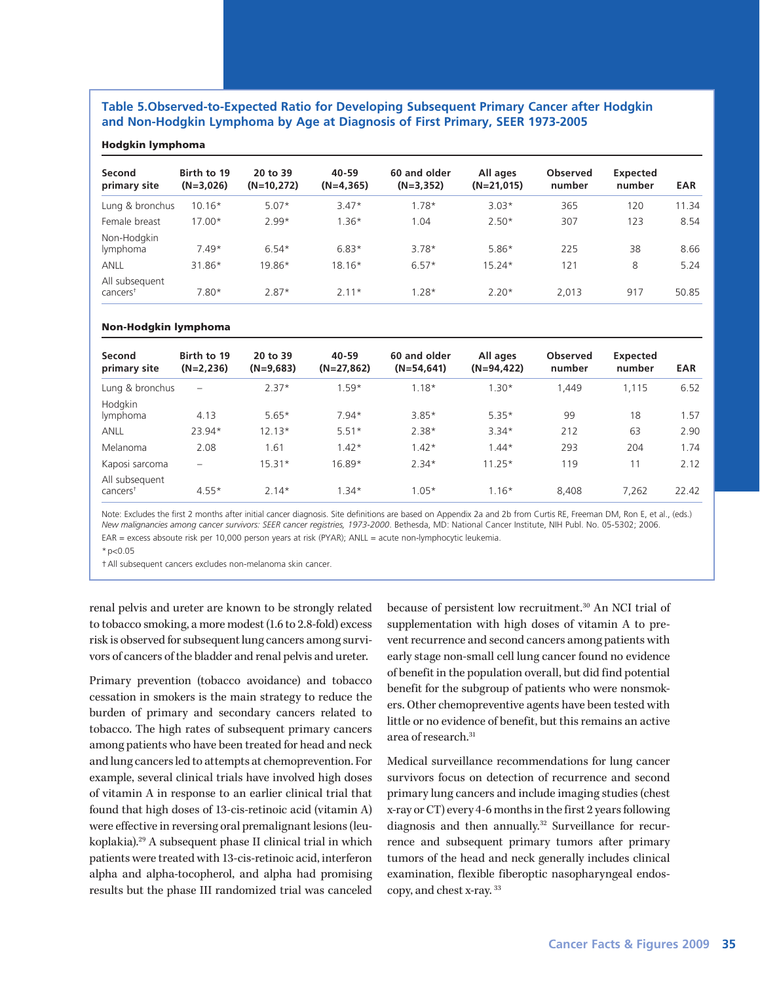### **Table 5.Observed-to-Expected Ratio for Developing Subsequent Primary Cancer after Hodgkin and Non-Hodgkin Lymphoma by Age at Diagnosis of First Primary, SEER 1973-2005**

### Hodgkin lymphoma

| Second<br>primary site                 | Birth to 19<br>$(N=3,026)$ | 20 to 39<br>$(N=10,272)$ | 40-59<br>$(N=4, 365)$ | 60 and older<br>$(N=3, 352)$ | All ages<br>$(N=21,015)$ | <b>Observed</b><br>number | Expected<br>number | <b>EAR</b> |
|----------------------------------------|----------------------------|--------------------------|-----------------------|------------------------------|--------------------------|---------------------------|--------------------|------------|
| Lung & bronchus                        | $10.16*$                   | $5.07*$                  | $3.47*$               | $1.78*$                      | $3.03*$                  | 365                       | 120                | 11.34      |
| Female breast                          | $17.00*$                   | $2.99*$                  | $1.36*$               | 1.04                         | $2.50*$                  | 307                       | 123                | 8.54       |
| Non-Hodgkin<br>lymphoma                | $7.49*$                    | $6.54*$                  | $6.83*$               | $3.78*$                      | $5.86*$                  | 225                       | 38                 | 8.66       |
| <b>ANLL</b>                            | 31.86*                     | 19.86*                   | $18.16*$              | $6.57*$                      | $15.24*$                 | 121                       | 8                  | 5.24       |
| All subsequent<br>cancers <sup>†</sup> | $7.80*$                    | $2.87*$                  | $2.11*$               | $1.28*$                      | $2.20*$                  | 2.013                     | 917                | 50.85      |

#### Non-Hodgkin lymphoma

| Second<br>primary site                    | Birth to 19<br>$(N=2,236)$ | 20 to 39<br>$(N=9,683)$ | 40-59<br>$(N=27,862)$ | 60 and older<br>$(N=54, 641)$ | All ages<br>$(N=94, 422)$ | Observed<br>number | <b>Expected</b><br>number | <b>EAR</b> |
|-------------------------------------------|----------------------------|-------------------------|-----------------------|-------------------------------|---------------------------|--------------------|---------------------------|------------|
| Lung & bronchus                           | $\overline{\phantom{0}}$   | $2.37*$                 | $1.59*$               | $1.18*$                       | $1.30*$                   | 1.449              | 1.115                     | 6.52       |
| Hodgkin<br>lymphoma                       | 4.13                       | $5.65*$                 | $7.94*$               | $3.85*$                       | $5.35*$                   | 99                 | 18                        | 1.57       |
| ANLL                                      | 23.94*                     | $12.13*$                | $5.51*$               | $2.38*$                       | $3.34*$                   | 212                | 63                        | 2.90       |
| Melanoma                                  | 2.08                       | 1.61                    | $1.42*$               | $1.42*$                       | $1.44*$                   | 293                | 204                       | 1.74       |
| Kaposi sarcoma                            | -                          | $15.31*$                | 16.89*                | $2.34*$                       | $11.25*$                  | 119                | 11                        | 2.12       |
| All subsequent<br>$c$ ancers <sup>†</sup> | $4.55*$                    | $2.14*$                 | $1.34*$               | $1.05*$                       | $1.16*$                   | 8,408              | 7.262                     | 22.42      |

Note: Excludes the first 2 months after initial cancer diagnosis. Site definitions are based on Appendix 2a and 2b from Curtis RE, Freeman DM, Ron E, et al., (eds.) *New malignancies among cancer survivors: SEER cancer registries, 1973-2000*. Bethesda, MD: National Cancer Institute, NIH Publ. No. 05-5302; 2006. EAR = excess absoute risk per 10,000 person years at risk (PYAR); ANLL = acute non-lymphocytic leukemia.

 $*n<0.05$ 

†All subsequent cancers excludes non-melanoma skin cancer.

renal pelvis and ureter are known to be strongly related to tobacco smoking, a more modest (1.6 to 2.8-fold) excess risk is observed for subsequent lung cancers among survivors of cancers of the bladder and renal pelvis and ureter.

Primary prevention (tobacco avoidance) and tobacco cessation in smokers is the main strategy to reduce the burden of primary and secondary cancers related to tobacco. The high rates of subsequent primary cancers among patients who have been treated for head and neck and lung cancers led to attempts at chemoprevention. For example, several clinical trials have involved high doses of vitamin A in response to an earlier clinical trial that found that high doses of 13-cis-retinoic acid (vitamin A) were effective in reversing oral premalignant lesions (leukoplakia).29 A subsequent phase II clinical trial in which patients were treated with 13-cis-retinoic acid, interferon alpha and alpha-tocopherol, and alpha had promising results but the phase III randomized trial was canceled

because of persistent low recruitment.30 An NCI trial of supplementation with high doses of vitamin A to prevent recurrence and second cancers among patients with early stage non-small cell lung cancer found no evidence of benefit in the population overall, but did find potential benefit for the subgroup of patients who were nonsmokers. Other chemopreventive agents have been tested with little or no evidence of benefit, but this remains an active area of research.<sup>31</sup>

Medical surveillance recommendations for lung cancer survivors focus on detection of recurrence and second primary lung cancers and include imaging studies (chest x-ray or CT) every 4-6 months in the first 2 years following diagnosis and then annually.<sup>32</sup> Surveillance for recurrence and subsequent primary tumors after primary tumors of the head and neck generally includes clinical examination, flexible fiberoptic nasopharyngeal endoscopy, and chest x-ray. 33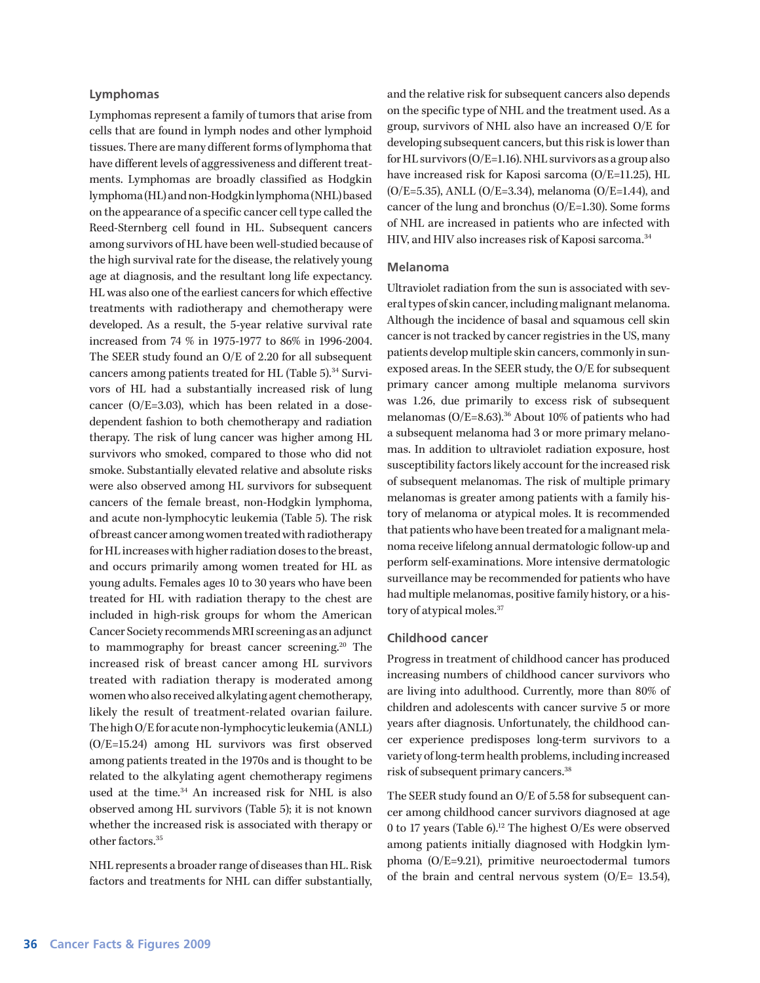#### **Lymphomas**

Lymphomas represent a family of tumors that arise from cells that are found in lymph nodes and other lymphoid tissues. There are many different forms of lymphoma that have different levels of aggressiveness and different treatments. Lymphomas are broadly classified as Hodgkin lymphoma (HL) and non-Hodgkin lymphoma (NHL) based on the appearance of a specific cancer cell type called the Reed-Sternberg cell found in HL. Subsequent cancers among survivors of HL have been well-studied because of the high survival rate for the disease, the relatively young age at diagnosis, and the resultant long life expectancy. HL was also one of the earliest cancers for which effective treatments with radiotherapy and chemotherapy were developed. As a result, the 5-year relative survival rate increased from 74 % in 1975-1977 to 86% in 1996-2004. The SEER study found an O/E of 2.20 for all subsequent cancers among patients treated for HL (Table 5).<sup>34</sup> Survivors of HL had a substantially increased risk of lung cancer (O/E=3.03), which has been related in a dosedependent fashion to both chemotherapy and radiation therapy. The risk of lung cancer was higher among HL survivors who smoked, compared to those who did not smoke. Substantially elevated relative and absolute risks were also observed among HL survivors for subsequent cancers of the female breast, non-Hodgkin lymphoma, and acute non-lymphocytic leukemia (Table 5). The risk of breast cancer among women treated with radiotherapy for HL increases with higher radiation doses to the breast, and occurs primarily among women treated for HL as young adults. Females ages 10 to 30 years who have been treated for HL with radiation therapy to the chest are included in high-risk groups for whom the American Cancer Society recommends MRI screening as an adjunct to mammography for breast cancer screening.<sup>20</sup> The increased risk of breast cancer among HL survivors treated with radiation therapy is moderated among women who also received alkylating agent chemotherapy, likely the result of treatment-related ovarian failure. The high O/E for acute non-lymphocytic leukemia (ANLL) (O/E=15.24) among HL survivors was first observed among patients treated in the 1970s and is thought to be related to the alkylating agent chemotherapy regimens used at the time.<sup>34</sup> An increased risk for NHL is also observed among HL survivors (Table 5); it is not known whether the increased risk is associated with therapy or other factors.35

NHL represents a broader range of diseases than HL. Risk factors and treatments for NHL can differ substantially,

and the relative risk for subsequent cancers also depends on the specific type of NHL and the treatment used. As a group, survivors of NHL also have an increased O/E for developing subsequent cancers, but this risk is lower than for HL survivors (O/E=1.16). NHL survivors as a group also have increased risk for Kaposi sarcoma (O/E=11.25), HL (O/E=5.35), ANLL (O/E=3.34), melanoma (O/E=1.44), and cancer of the lung and bronchus (O/E=1.30). Some forms of NHL are increased in patients who are infected with HIV, and HIV also increases risk of Kaposi sarcoma.<sup>34</sup>

### **Melanoma**

Ultraviolet radiation from the sun is associated with several types of skin cancer, including malignant melanoma. Although the incidence of basal and squamous cell skin cancer is not tracked by cancer registries in the US, many patients develop multiple skin cancers, commonly in sunexposed areas. In the SEER study, the O/E for subsequent primary cancer among multiple melanoma survivors was 1.26, due primarily to excess risk of subsequent melanomas ( $O/E = 8.63$ ).<sup>36</sup> About 10% of patients who had a subsequent melanoma had 3 or more primary melanomas. In addition to ultraviolet radiation exposure, host susceptibility factors likely account for the increased risk of subsequent melanomas. The risk of multiple primary melanomas is greater among patients with a family history of melanoma or atypical moles. It is recommended that patients who have been treated for a malignant melanoma receive lifelong annual dermatologic follow-up and perform self-examinations. More intensive dermatologic surveillance may be recommended for patients who have had multiple melanomas, positive family history, or a history of atypical moles.37

#### **Childhood cancer**

Progress in treatment of childhood cancer has produced increasing numbers of childhood cancer survivors who are living into adulthood. Currently, more than 80% of children and adolescents with cancer survive 5 or more years after diagnosis. Unfortunately, the childhood cancer experience predisposes long-term survivors to a variety of long-term health problems, including increased risk of subsequent primary cancers.38

The SEER study found an O/E of 5.58 for subsequent cancer among childhood cancer survivors diagnosed at age 0 to 17 years (Table 6).<sup>12</sup> The highest O/Es were observed among patients initially diagnosed with Hodgkin lymphoma (O/E=9.21), primitive neuroectodermal tumors of the brain and central nervous system (O/E= 13.54),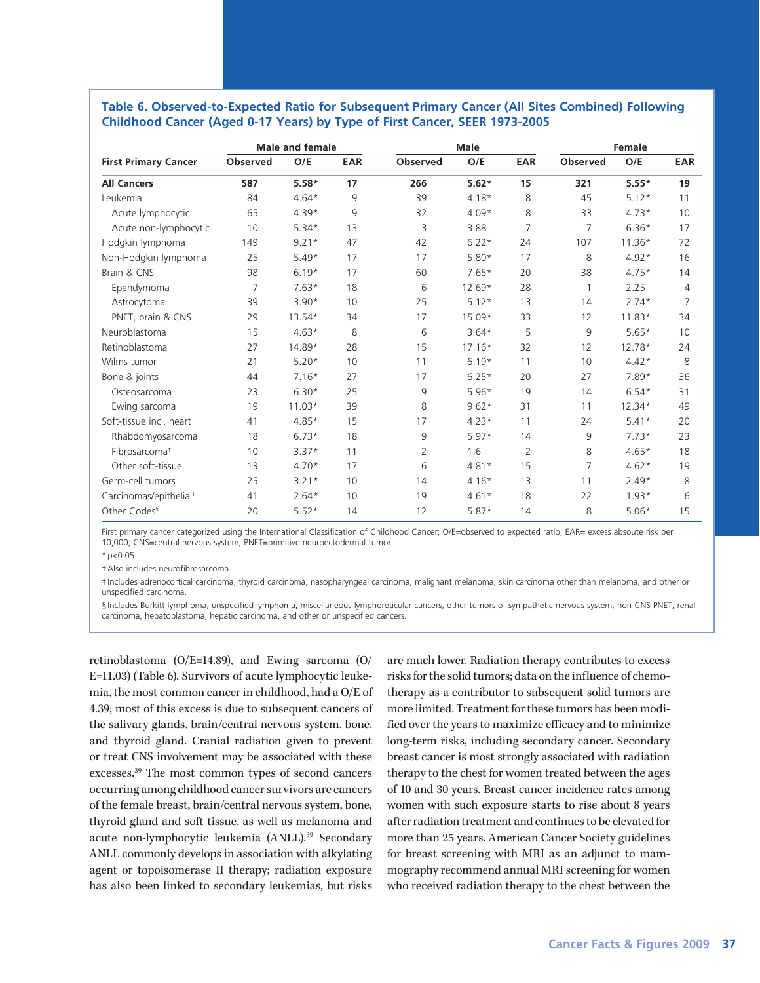### **Table 6. Observed-to-Expected Ratio for Subsequent Primary Cancer (All Sites Combined) Following Childhood Cancer (Aged 0-17 Years) by Type of First Cancer, SEER 1973-2005**

|                                    |                 | <b>Male and female</b> |            |                 | <b>Male</b> | Female     |                 |          |                |
|------------------------------------|-----------------|------------------------|------------|-----------------|-------------|------------|-----------------|----------|----------------|
| <b>First Primary Cancer</b>        | <b>Observed</b> | O/E                    | <b>EAR</b> | <b>Observed</b> | O/E         | <b>EAR</b> | <b>Observed</b> | O/E      | <b>EAR</b>     |
| <b>All Cancers</b>                 | 587             | $5.58*$                | 17         | 266             | $5.62*$     | 15         | 321             | $5.55*$  | 19             |
| Leukemia                           | 84              | $4.64*$                | 9          | 39              | $4.18*$     | 8          | 45              | $5.12*$  | 11             |
| Acute lymphocytic                  | 65              | $4.39*$                | 9          | 32              | $4.09*$     | 8          | 33              | $4.73*$  | 10             |
| Acute non-lymphocytic              | 10              | $5.34*$                | 13         | 3               | 3.88        | 7          | 7               | $6.36*$  | 17             |
| Hodgkin lymphoma                   | 149             | $9.21*$                | 47         | 42              | $6.22*$     | 24         | 107             | $11.36*$ | 72             |
| Non-Hodgkin lymphoma               | 25              | $5.49*$                | 17         | 17              | $5.80*$     | 17         | 8               | $4.92*$  | 16             |
| Brain & CNS                        | 98              | $6.19*$                | 17         | 60              | $7.65*$     | 20         | 38              | $4.75*$  | 14             |
| Ependymoma                         | 7               | $7.63*$                | 18         | 6               | 12.69*      | 28         |                 | 2.25     | 4              |
| Astrocytoma                        | 39              | $3.90*$                | 10         | 25              | $5.12*$     | 13         | 14              | $2.74*$  | $\overline{7}$ |
| PNET, brain & CNS                  | 29              | 13.54*                 | 34         | 17              | 15.09*      | 33         | 12              | $11.83*$ | 34             |
| Neuroblastoma                      | 15              | $4.63*$                | 8          | 6               | $3.64*$     | 5          | 9               | $5.65*$  | 10             |
| Retinoblastoma                     | 27              | 14.89*                 | 28         | 15              | $17.16*$    | 32         | 12              | 12.78*   | 24             |
| Wilms tumor                        | 21              | $5.20*$                | 10         | 11              | $6.19*$     | 11         | 10              | $4.42*$  | 8              |
| Bone & joints                      | 44              | $7.16*$                | 27         | 17              | $6.25*$     | 20         | 27              | 7.89*    | 36             |
| Osteosarcoma                       | 23              | $6.30*$                | 25         | 9               | $5.96*$     | 19         | 14              | $6.54*$  | 31             |
| Ewing sarcoma                      | 19              | $11.03*$               | 39         | 8               | $9.62*$     | 31         | 11              | $12.34*$ | 49             |
| Soft-tissue incl. heart            | 41              | $4.85*$                | 15         | 17              | $4.23*$     | 11         | 24              | $5.41*$  | 20             |
| Rhabdomyosarcoma                   | 18              | $6.73*$                | 18         | 9               | $5.97*$     | 14         | 9               | $7.73*$  | 23             |
| Fibrosarcoma <sup>+</sup>          | 10              | $3.37*$                | 11         | 2               | 1.6         | 2          | 8               | $4.65*$  | 18             |
| Other soft-tissue                  | 13              | $4.70*$                | 17         | 6               | $4.81*$     | 15         | 7               | $4.62*$  | 19             |
| Germ-cell tumors                   | 25              | $3.21*$                | 10         | 14              | $4.16*$     | 13         | 11              | $2.49*$  | 8              |
| Carcinomas/epithelial <sup>#</sup> | 41              | $2.64*$                | 10         | 19              | $4.61*$     | 18         | 22              | $1.93*$  | 6              |
| Other Codes <sup>§</sup>           | 20              | $5.52*$                | 14         | 12              | $5.87*$     | 14         | 8               | $5.06*$  | 15             |

First primary cancer categorized using the International Classification of Childhood Cancer; O/E=observed to expected ratio; EAR= excess absoute risk per 10,000; CNS=central nervous system; PNET=primitive neuroectodermal tumor.

 $*p<0.05$ 

†Also includes neurofibrosarcoma.

‡Includes adrenocortical carcinoma, thyroid carcinoma, nasopharyngeal carcinoma, malignant melanoma, skin carcinoma other than melanoma, and other or unspecified carcinoma.

§Includes Burkitt lymphoma, unspecified lymphoma, miscellaneous lymphoreticular cancers, other tumors of sympathetic nervous system, non-CNS PNET, renal carcinoma, hepatoblastoma, hepatic carcinoma, and other or unspecified cancers.

retinoblastoma (O/E=14.89), and Ewing sarcoma (O/ E=11.03) (Table 6). Survivors of acute lymphocytic leukemia, the most common cancer in childhood, had a O/E of 4.39; most of this excess is due to subsequent cancers of the salivary glands, brain/central nervous system, bone, and thyroid gland. Cranial radiation given to prevent or treat CNS involvement may be associated with these excesses.39 The most common types of second cancers occurring among childhood cancer survivors are cancers of the female breast, brain/central nervous system, bone, thyroid gland and soft tissue, as well as melanoma and acute non-lymphocytic leukemia (ANLL).39 Secondary ANLL commonly develops in association with alkylating agent or topoisomerase II therapy; radiation exposure has also been linked to secondary leukemias, but risks

are much lower. Radiation therapy contributes to excess risks for the solid tumors; data on the influence of chemotherapy as a contributor to subsequent solid tumors are more limited. Treatment for these tumors has been modified over the years to maximize efficacy and to minimize long-term risks, including secondary cancer. Secondary breast cancer is most strongly associated with radiation therapy to the chest for women treated between the ages of 10 and 30 years. Breast cancer incidence rates among women with such exposure starts to rise about 8 years after radiation treatment and continues to be elevated for more than 25 years. American Cancer Society guidelines for breast screening with MRI as an adjunct to mammography recommend annual MRI screening for women who received radiation therapy to the chest between the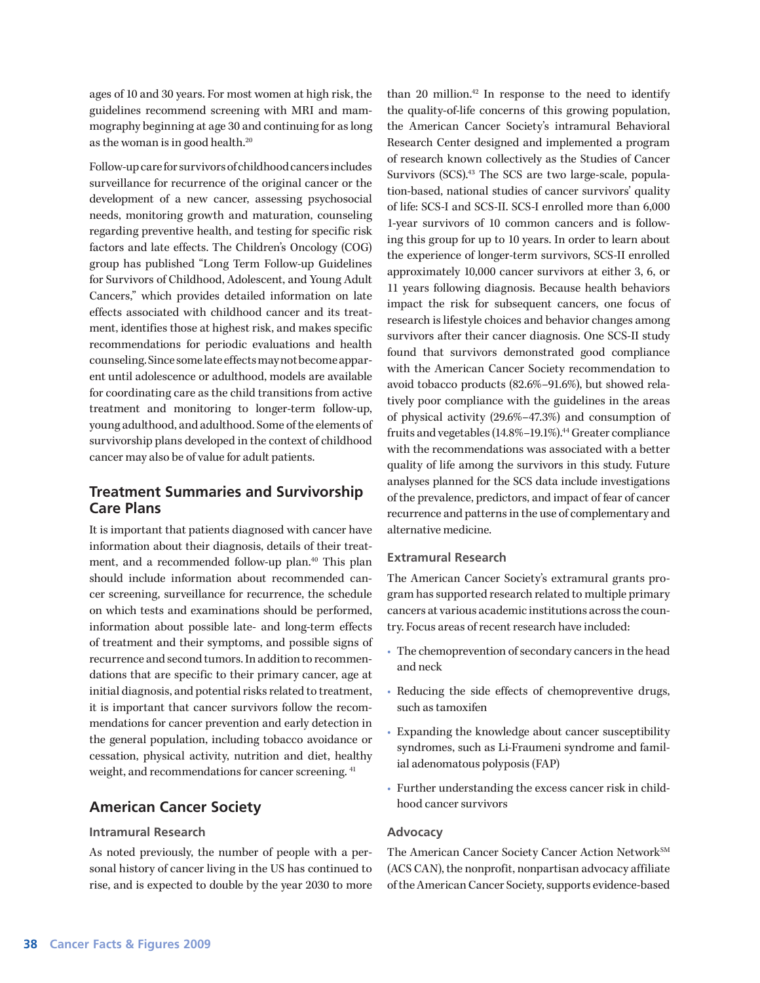ages of 10 and 30 years. For most women at high risk, the guidelines recommend screening with MRI and mammography beginning at age 30 and continuing for as long as the woman is in good health.20

Follow-up care for survivors of childhood cancers includes surveillance for recurrence of the original cancer or the development of a new cancer, assessing psychosocial needs, monitoring growth and maturation, counseling regarding preventive health, and testing for specific risk factors and late effects. The Children's Oncology (COG) group has published "Long Term Follow-up Guidelines for Survivors of Childhood, Adolescent, and Young Adult Cancers," which provides detailed information on late effects associated with childhood cancer and its treatment, identifies those at highest risk, and makes specific recommendations for periodic evaluations and health counseling. Since some late effects may not become apparent until adolescence or adulthood, models are available for coordinating care as the child transitions from active treatment and monitoring to longer-term follow-up, young adulthood, and adulthood. Some of the elements of survivorship plans developed in the context of childhood cancer may also be of value for adult patients.

# **Treatment Summaries and Survivorship Care Plans**

It is important that patients diagnosed with cancer have information about their diagnosis, details of their treatment, and a recommended follow-up plan.40 This plan should include information about recommended cancer screening, surveillance for recurrence, the schedule on which tests and examinations should be performed, information about possible late- and long-term effects of treatment and their symptoms, and possible signs of recurrence and second tumors. In addition to recommendations that are specific to their primary cancer, age at initial diagnosis, and potential risks related to treatment, it is important that cancer survivors follow the recommendations for cancer prevention and early detection in the general population, including tobacco avoidance or cessation, physical activity, nutrition and diet, healthy weight, and recommendations for cancer screening. 41

# **American Cancer Society**

### **Intramural Research**

As noted previously, the number of people with a personal history of cancer living in the US has continued to rise, and is expected to double by the year 2030 to more

than 20 million. $42$  In response to the need to identify the quality-of-life concerns of this growing population, the American Cancer Society's intramural Behavioral Research Center designed and implemented a program of research known collectively as the Studies of Cancer Survivors (SCS).<sup>43</sup> The SCS are two large-scale, population-based, national studies of cancer survivors' quality of life: SCS-I and SCS-II. SCS-I enrolled more than 6,000 1-year survivors of 10 common cancers and is following this group for up to 10 years. In order to learn about the experience of longer-term survivors, SCS-II enrolled approximately 10,000 cancer survivors at either 3, 6, or 11 years following diagnosis. Because health behaviors impact the risk for subsequent cancers, one focus of research is lifestyle choices and behavior changes among survivors after their cancer diagnosis. One SCS-II study found that survivors demonstrated good compliance with the American Cancer Society recommendation to avoid tobacco products (82.6%–91.6%), but showed relatively poor compliance with the guidelines in the areas of physical activity (29.6%–47.3%) and consumption of fruits and vegetables (14.8%-19.1%).<sup>44</sup> Greater compliance with the recommendations was associated with a better quality of life among the survivors in this study. Future analyses planned for the SCS data include investigations of the prevalence, predictors, and impact of fear of cancer recurrence and patterns in the use of complementary and alternative medicine.

### **Extramural Research**

The American Cancer Society's extramural grants program has supported research related to multiple primary cancers at various academic institutions across the country. Focus areas of recent research have included:

- The chemoprevention of secondary cancers in the head and neck
- Reducing the side effects of chemopreventive drugs, such as tamoxifen
- Expanding the knowledge about cancer susceptibility syndromes, such as Li-Fraumeni syndrome and familial adenomatous polyposis (FAP)
- Further understanding the excess cancer risk in childhood cancer survivors

### **Advocacy**

The American Cancer Society Cancer Action Network<sup>SM</sup> (ACS CAN), the nonprofit, nonpartisan advocacy affiliate of the American Cancer Society, supports evidence-based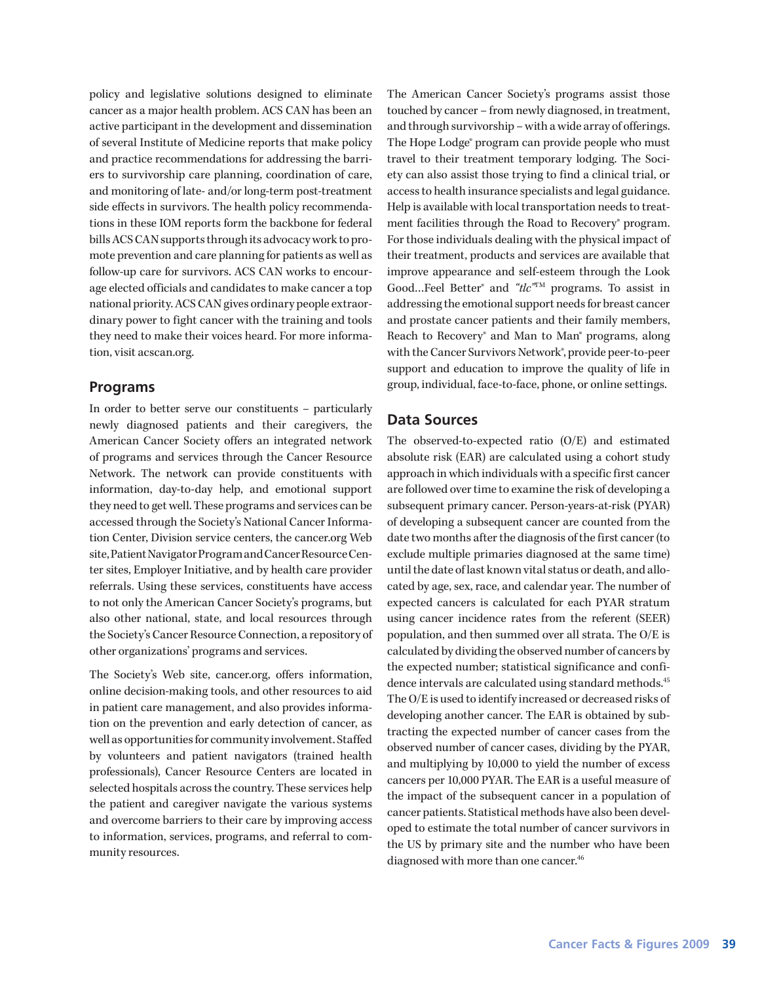policy and legislative solutions designed to eliminate cancer as a major health problem. ACS CAN has been an active participant in the development and dissemination of several Institute of Medicine reports that make policy and practice recommendations for addressing the barriers to survivorship care planning, coordination of care, and monitoring of late- and/or long-term post-treatment side effects in survivors. The health policy recommendations in these IOM reports form the backbone for federal bills ACS CAN supports through its advocacy work to promote prevention and care planning for patients as well as follow-up care for survivors. ACS CAN works to encourage elected officials and candidates to make cancer a top national priority. ACS CAN gives ordinary people extraordinary power to fight cancer with the training and tools they need to make their voices heard. For more information, visit acscan.org.

# **Programs**

In order to better serve our constituents – particularly newly diagnosed patients and their caregivers, the American Cancer Society offers an integrated network of programs and services through the Cancer Resource Network. The network can provide constituents with information, day-to-day help, and emotional support they need to get well. These programs and services can be accessed through the Society's National Cancer Information Center, Division service centers, the cancer.org Web site, Patient Navigator Program and Cancer Resource Center sites, Employer Initiative, and by health care provider referrals. Using these services, constituents have access to not only the American Cancer Society's programs, but also other national, state, and local resources through the Society's Cancer Resource Connection, a repository of other organizations' programs and services.

The Society's Web site, cancer.org, offers information, online decision-making tools, and other resources to aid in patient care management, and also provides information on the prevention and early detection of cancer, as well as opportunities for community involvement. Staffed by volunteers and patient navigators (trained health professionals), Cancer Resource Centers are located in selected hospitals across the country. These services help the patient and caregiver navigate the various systems and overcome barriers to their care by improving access to information, services, programs, and referral to community resources.

The American Cancer Society's programs assist those touched by cancer – from newly diagnosed, in treatment, and through survivorship – with a wide array of offerings. The Hope Lodge® program can provide people who must travel to their treatment temporary lodging. The Society can also assist those trying to find a clinical trial, or access to health insurance specialists and legal guidance. Help is available with local transportation needs to treatment facilities through the Road to Recovery<sup>®</sup> program. For those individuals dealing with the physical impact of their treatment, products and services are available that improve appearance and self-esteem through the Look Good…Feel Better® and *"tlc"*TM programs. To assist in addressing the emotional support needs for breast cancer and prostate cancer patients and their family members, Reach to Recovery® and Man to Man® programs, along with the Cancer Survivors Network<sup>®</sup>, provide peer-to-peer support and education to improve the quality of life in group, individual, face-to-face, phone, or online settings.

# **Data Sources**

The observed-to-expected ratio (O/E) and estimated absolute risk (EAR) are calculated using a cohort study approach in which individuals with a specific first cancer are followed over time to examine the risk of developing a subsequent primary cancer. Person-years-at-risk (PYAR) of developing a subsequent cancer are counted from the date two months after the diagnosis of the first cancer (to exclude multiple primaries diagnosed at the same time) until the date of last known vital status or death, and allocated by age, sex, race, and calendar year. The number of expected cancers is calculated for each PYAR stratum using cancer incidence rates from the referent (SEER) population, and then summed over all strata. The O/E is calculated by dividing the observed number of cancers by the expected number; statistical significance and confidence intervals are calculated using standard methods.<sup>45</sup> The O/E is used to identify increased or decreased risks of developing another cancer. The EAR is obtained by subtracting the expected number of cancer cases from the observed number of cancer cases, dividing by the PYAR, and multiplying by 10,000 to yield the number of excess cancers per 10,000 PYAR. The EAR is a useful measure of the impact of the subsequent cancer in a population of cancer patients. Statistical methods have also been developed to estimate the total number of cancer survivors in the US by primary site and the number who have been diagnosed with more than one cancer.<sup>46</sup>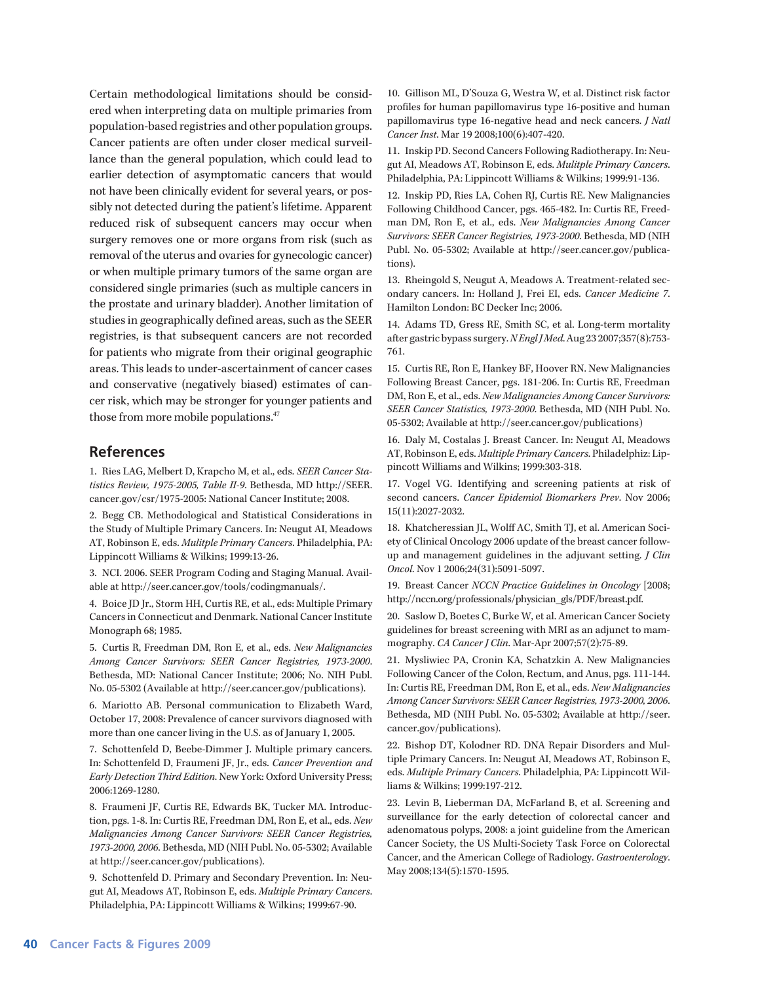Certain methodological limitations should be considered when interpreting data on multiple primaries from population-based registries and other population groups. Cancer patients are often under closer medical surveillance than the general population, which could lead to earlier detection of asymptomatic cancers that would not have been clinically evident for several years, or possibly not detected during the patient's lifetime. Apparent reduced risk of subsequent cancers may occur when surgery removes one or more organs from risk (such as removal of the uterus and ovaries for gynecologic cancer) or when multiple primary tumors of the same organ are considered single primaries (such as multiple cancers in the prostate and urinary bladder). Another limitation of studies in geographically defined areas, such as the SEER registries, is that subsequent cancers are not recorded for patients who migrate from their original geographic areas. This leads to under-ascertainment of cancer cases and conservative (negatively biased) estimates of cancer risk, which may be stronger for younger patients and those from more mobile populations.<sup>47</sup>

### **References**

1. Ries LAG, Melbert D, Krapcho M, et al., eds. *SEER Cancer Statistics Review, 1975-2005, Table II-9*. Bethesda, MD http://SEER. cancer.gov/csr/1975-2005: National Cancer Institute; 2008.

2. Begg CB. Methodological and Statistical Considerations in the Study of Multiple Primary Cancers. In: Neugut AI, Meadows AT, Robinson E, eds. *Mulitple Primary Cancers*. Philadelphia, PA: Lippincott Williams & Wilkins; 1999:13-26.

3. NCI. 2006. SEER Program Coding and Staging Manual. Available at http://seer.cancer.gov/tools/codingmanuals/.

4. Boice JD Jr., Storm HH, Curtis RE, et al., eds: Multiple Primary Cancers in Connecticut and Denmark. National Cancer Institute Monograph 68; 1985.

5. Curtis R, Freedman DM, Ron E, et al., eds. *New Malignancies Among Cancer Survivors: SEER Cancer Registries, 1973-2000*. Bethesda, MD: National Cancer Institute; 2006; No. NIH Publ. No. 05-5302 (Available at http://seer.cancer.gov/publications).

6. Mariotto AB. Personal communication to Elizabeth Ward, October 17, 2008: Prevalence of cancer survivors diagnosed with more than one cancer living in the U.S. as of January 1, 2005.

7. Schottenfeld D, Beebe-Dimmer J. Multiple primary cancers. In: Schottenfeld D, Fraumeni JF, Jr., eds. *Cancer Prevention and Early Detection Third Edition*. New York: Oxford University Press; 2006:1269-1280.

8. Fraumeni JF, Curtis RE, Edwards BK, Tucker MA. Introduction, pgs. 1-8. In: Curtis RE, Freedman DM, Ron E, et al., eds. *New Malignancies Among Cancer Survivors: SEER Cancer Registries, 1973-2000, 2006*. Bethesda, MD (NIH Publ. No. 05-5302; Available at http://seer.cancer.gov/publications).

9. Schottenfeld D. Primary and Secondary Prevention. In: Neugut AI, Meadows AT, Robinson E, eds. *Multiple Primary Cancers*. Philadelphia, PA: Lippincott Williams & Wilkins; 1999:67-90.

10. Gillison ML, D'Souza G, Westra W, et al. Distinct risk factor profiles for human papillomavirus type 16-positive and human papillomavirus type 16-negative head and neck cancers. *J Natl Cancer Inst*. Mar 19 2008;100(6):407-420.

11. Inskip PD. Second Cancers Following Radiotherapy. In: Neugut AI, Meadows AT, Robinson E, eds. *Mulitple Primary Cancers*. Philadelphia, PA: Lippincott Williams & Wilkins; 1999:91-136.

12. Inskip PD, Ries LA, Cohen RJ, Curtis RE. New Malignancies Following Childhood Cancer, pgs. 465-482. In: Curtis RE, Freedman DM, Ron E, et al., eds. *New Malignancies Among Cancer Survivors: SEER Cancer Registries, 1973-2000*. Bethesda, MD (NIH Publ. No. 05-5302; Available at http://seer.cancer.gov/publications).

13. Rheingold S, Neugut A, Meadows A. Treatment-related secondary cancers. In: Holland J, Frei EI, eds. *Cancer Medicine 7*. Hamilton London: BC Decker Inc; 2006.

14. Adams TD, Gress RE, Smith SC, et al. Long-term mortality after gastric bypass surgery. *N Engl J Med*. Aug 23 2007;357(8):753- 761.

15. Curtis RE, Ron E, Hankey BF, Hoover RN. New Malignancies Following Breast Cancer, pgs. 181-206. In: Curtis RE, Freedman DM, Ron E, et al., eds. *New Malignancies Among Cancer Survivors: SEER Cancer Statistics, 1973-2000*. Bethesda, MD (NIH Publ. No. 05-5302; Available at http://seer.cancer.gov/publications)

16. Daly M, Costalas J. Breast Cancer. In: Neugut AI, Meadows AT, Robinson E, eds. *Multiple Primary Cancers*. Philadelphiz: Lippincott Williams and Wilkins; 1999:303-318.

17. Vogel VG. Identifying and screening patients at risk of second cancers. *Cancer Epidemiol Biomarkers Prev*. Nov 2006; 15(11):2027-2032.

18. Khatcheressian JL, Wolff AC, Smith TJ, et al. American Society of Clinical Oncology 2006 update of the breast cancer followup and management guidelines in the adjuvant setting. *J Clin Oncol*. Nov 1 2006;24(31):5091-5097.

19. Breast Cancer *NCCN Practice Guidelines in Oncology* [2008; http://nccn.org/professionals/physician\_gls/PDF/breast.pdf.

20. Saslow D, Boetes C, Burke W, et al. American Cancer Society guidelines for breast screening with MRI as an adjunct to mammography. *CA Cancer J Clin*. Mar-Apr 2007;57(2):75-89.

21. Mysliwiec PA, Cronin KA, Schatzkin A. New Malignancies Following Cancer of the Colon, Rectum, and Anus, pgs. 111-144. In: Curtis RE, Freedman DM, Ron E, et al., eds. *New Malignancies Among Cancer Survivors: SEER Cancer Registries, 1973-2000, 2006*. Bethesda, MD (NIH Publ. No. 05-5302; Available at http://seer. cancer.gov/publications).

22. Bishop DT, Kolodner RD. DNA Repair Disorders and Multiple Primary Cancers. In: Neugut AI, Meadows AT, Robinson E, eds. *Multiple Primary Cancers*. Philadelphia, PA: Lippincott Williams & Wilkins; 1999:197-212.

23. Levin B, Lieberman DA, McFarland B, et al. Screening and surveillance for the early detection of colorectal cancer and adenomatous polyps, 2008: a joint guideline from the American Cancer Society, the US Multi-Society Task Force on Colorectal Cancer, and the American College of Radiology. *Gastroenterology*. May 2008;134(5):1570-1595.